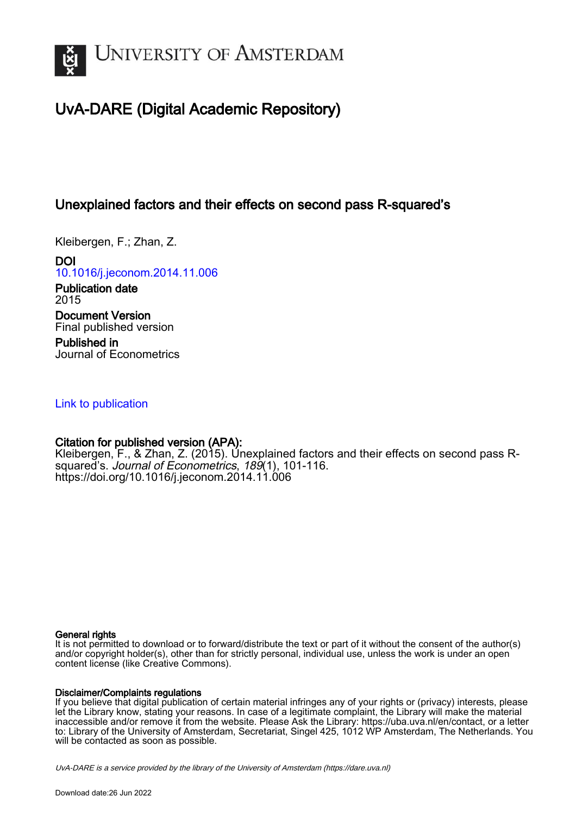

# UvA-DARE (Digital Academic Repository)

# Unexplained factors and their effects on second pass R-squared's

Kleibergen, F.; Zhan, Z.

DOI [10.1016/j.jeconom.2014.11.006](https://doi.org/10.1016/j.jeconom.2014.11.006)

Publication date 2015 Document Version Final published version Published in

Journal of Econometrics

# [Link to publication](https://dare.uva.nl/personal/pure/en/publications/unexplained-factors-and-their-effects-on-second-pass-rsquareds(f289b3e4-6588-4353-b015-947e98ad204b).html)

# Citation for published version (APA):

Kleibergen, F., & Zhan, Z. (2015). Unexplained factors and their effects on second pass Rsquared's. Journal of Econometrics, 189(1), 101-116. <https://doi.org/10.1016/j.jeconom.2014.11.006>

# General rights

It is not permitted to download or to forward/distribute the text or part of it without the consent of the author(s) and/or copyright holder(s), other than for strictly personal, individual use, unless the work is under an open content license (like Creative Commons).

# Disclaimer/Complaints regulations

If you believe that digital publication of certain material infringes any of your rights or (privacy) interests, please let the Library know, stating your reasons. In case of a legitimate complaint, the Library will make the material inaccessible and/or remove it from the website. Please Ask the Library: https://uba.uva.nl/en/contact, or a letter to: Library of the University of Amsterdam, Secretariat, Singel 425, 1012 WP Amsterdam, The Netherlands. You will be contacted as soon as possible.

UvA-DARE is a service provided by the library of the University of Amsterdam (http*s*://dare.uva.nl)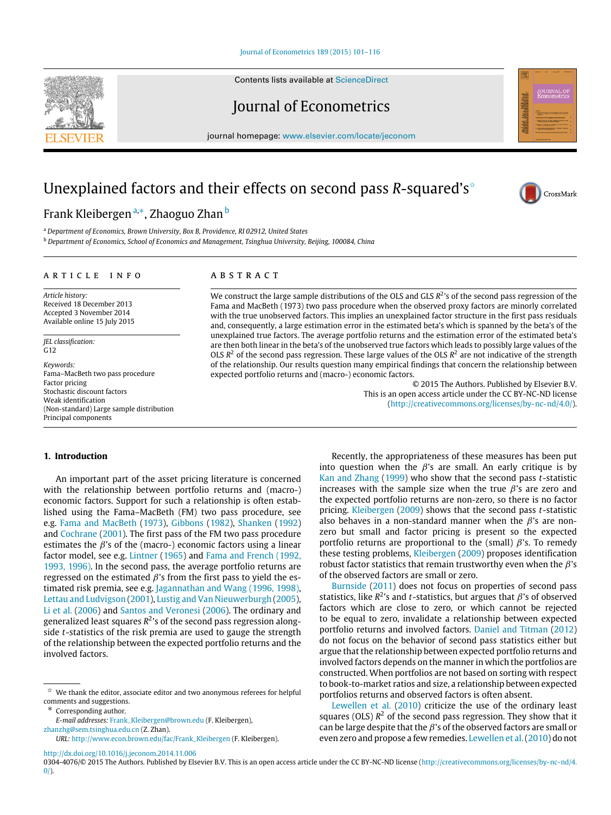[Journal of Econometrics 189 \(2015\) 101–116](http://dx.doi.org/10.1016/j.jeconom.2014.11.006)

Contents lists available at [ScienceDirect](http://www.elsevier.com/locate/jeconom)

Journal of Econometrics

journal homepage: [www.elsevier.com/locate/jeconom](http://www.elsevier.com/locate/jeconom)

# Unexplained factors and their effects on second pass *R*-squared's<sup>☆</sup>

# Frank Klei[b](#page-1-3)ergen ª,\*, Zhaoguo Zhan <sup>b</sup>

<span id="page-1-3"></span><span id="page-1-1"></span><sup>a</sup> *Department of Economics, Brown University, Box B, Providence, RI 02912, United States* <sup>b</sup> *Department of Economics, School of Economics and Management, Tsinghua University, Beijing, 100084, China*

## ARTICLE INFO

*Article history:* Received 18 December 2013 Accepted 3 November 2014 Available online 15 July 2015

*JEL classification:*  $G12$ 

*Keywords:* Fama–MacBeth two pass procedure Factor pricing Stochastic discount factors Weak identification (Non-standard) Large sample distribution Principal components

# A R S T R A C T

We construct the large sample distributions of the OLS and GLS  $R^2$ 's of the second pass regression of the Fama and MacBeth (1973) two pass procedure when the observed proxy factors are minorly correlated with the true unobserved factors. This implies an unexplained factor structure in the first pass residuals and, consequently, a large estimation error in the estimated beta's which is spanned by the beta's of the unexplained true factors. The average portfolio returns and the estimation error of the estimated beta's are then both linear in the beta's of the unobserved true factors which leads to possibly large values of the OLS  $R<sup>2</sup>$  of the second pass regression. These large values of the OLS  $R<sup>2</sup>$  are not indicative of the strength of the relationship. Our results question many empirical findings that concern the relationship between expected portfolio returns and (macro-) economic factors.

> © 2015 The Authors. Published by Elsevier B.V. This is an open access article under the CC BY-NC-ND license [\(http://creativecommons.org/licenses/by-nc-nd/4.0/\)](http://creativecommons.org/licenses/by-nc-nd/4.0/).

# **1. Introduction**

An important part of the asset pricing literature is concerned with the relationship between portfolio returns and (macro-) economic factors. Support for such a relationship is often established using the Fama–MacBeth (FM) two pass procedure, see e.g. [Fama](#page-16-0) [and](#page-16-0) [MacBeth](#page-16-0) [\(1973\)](#page-16-0), [Gibbons](#page-16-1) [\(1982\)](#page-16-1), [Shanken](#page-16-2) [\(1992\)](#page-16-2) and [Cochrane](#page-16-3) [\(2001\)](#page-16-3). The first pass of the FM two pass procedure estimates the  $\beta$ 's of the (macro-) economic factors using a linear factor model, see e.g. [Lintner](#page-16-4) [\(1965\)](#page-16-4) and [Fama](#page-16-5) [and](#page-16-5) [French](#page-16-5) [\(1992,](#page-16-5) [1993,](#page-16-6) [1996\).](#page-16-7) In the second pass, the average portfolio returns are regressed on the estimated  $\beta$ 's from the first pass to yield the estimated risk premia, see e.g. [Jagannathan](#page-16-8) [and](#page-16-8) [Wang](#page-16-8) [\(1996,](#page-16-8) [1998\),](#page-16-9) [Lettau](#page-16-10) [and](#page-16-10) [Ludvigson](#page-16-10) [\(2001\)](#page-16-10), [Lustig](#page-16-11) [and](#page-16-11) [Van](#page-16-11) [Nieuwerburgh](#page-16-11) [\(2005\)](#page-16-11), [Li](#page-16-12) [et al.](#page-16-12) [\(2006\)](#page-16-12) and [Santos](#page-16-13) [and](#page-16-13) [Veronesi](#page-16-13) [\(2006\)](#page-16-13). The ordinary and generalized least squares *R* 2 's of the second pass regression alongside *t*-statistics of the risk premia are used to gauge the strength of the relationship between the expected portfolio returns and the involved factors.

<span id="page-1-2"></span>Corresponding author.

[zhanzhg@sem.tsinghua.edu.cn](mailto:zhanzhg@sem.tsinghua.edu.cn) (Z. Zhan). *URL:* [http://www.econ.brown.edu/fac/Frank\\_Kleibergen](http://www.econ.brown.edu/fac/Frank_Kleibergen) (F. Kleibergen).

<http://dx.doi.org/10.1016/j.jeconom.2014.11.006>

Recently, the appropriateness of these measures has been put into question when the  $\beta$ 's are small. An early critique is by [Kan](#page-16-14) [and](#page-16-14) [Zhang](#page-16-14) [\(1999\)](#page-16-14) who show that the second pass *t*-statistic increases with the sample size when the true  $\beta$ 's are zero and the expected portfolio returns are non-zero, so there is no factor pricing. [Kleibergen](#page-16-15) [\(2009\)](#page-16-15) shows that the second pass *t*-statistic also behaves in a non-standard manner when the  $\beta$ 's are nonzero but small and factor pricing is present so the expected portfolio returns are proportional to the (small)  $\beta$ 's. To remedy these testing problems, [Kleibergen](#page-16-15) [\(2009\)](#page-16-15) proposes identification robust factor statistics that remain trustworthy even when the  $\beta$ 's of the observed factors are small or zero.

[Burnside](#page-16-16) [\(2011\)](#page-16-16) does not focus on properties of second pass statistics, like  $R^2$ 's and *t*-statistics, but argues that  $\beta$ 's of observed factors which are close to zero, or which cannot be rejected to be equal to zero, invalidate a relationship between expected portfolio returns and involved factors. [Daniel](#page-16-17) [and](#page-16-17) [Titman](#page-16-17) [\(2012\)](#page-16-17) do not focus on the behavior of second pass statistics either but argue that the relationship between expected portfolio returns and involved factors depends on the manner in which the portfolios are constructed. When portfolios are not based on sorting with respect to book-to-market ratios and size, a relationship between expected portfolios returns and observed factors is often absent.

[Lewellen](#page-16-18) [et al.](#page-16-18) [\(2010\)](#page-16-18) criticize the use of the ordinary least squares (OLS)  $R^2$  of the second pass regression. They show that it can be large despite that the  $\beta$ 's of the observed factors are small or even zero and propose a few remedies. [Lewellen](#page-16-18) [et al.\(2010\)](#page-16-18) do not



CrossMark

<span id="page-1-0"></span> $\overrightarrow{x}$  We thank the editor, associate editor and two anonymous referees for helpful comments and suggestions.

*E-mail addresses:* [Frank\\_Kleibergen@brown.edu](mailto:Frank_Kleibergen@brown.edu) (F. Kleibergen),

<sup>0304-4076/© 2015</sup> The Authors. Published by Elsevier B.V. This is an open access article under the CC BY-NC-ND license [\(http://creativecommons.org/licenses/by-nc-nd/4.](http://creativecommons.org/licenses/by-nc-nd/4.0/)  $0$ ).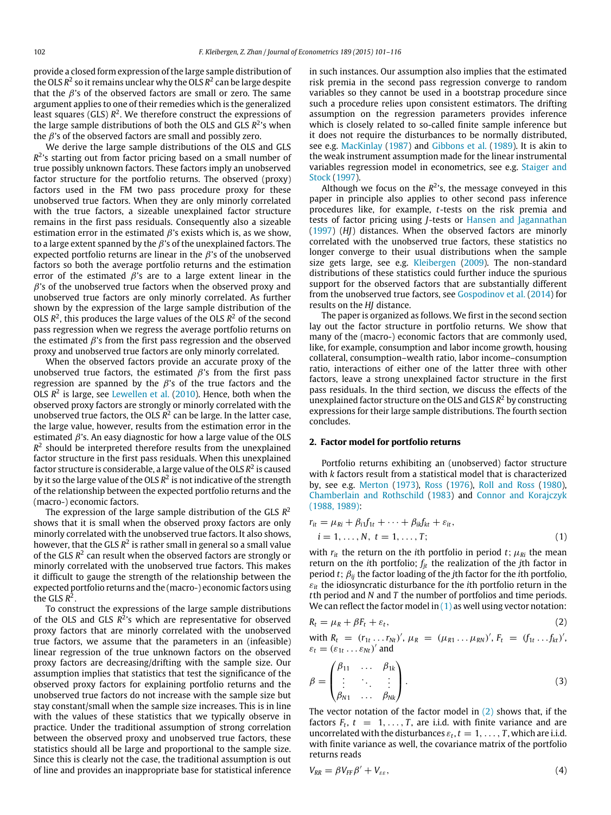provide a closed form expression of the large sample distribution of the OLS *R* 2 so it remains unclear why the OLS *R* 2 can be large despite that the  $\beta$ 's of the observed factors are small or zero. The same argument applies to one of their remedies which is the generalized least squares (GLS) *R* 2 . We therefore construct the expressions of the large sample distributions of both the OLS and GLS *R* 2 's when the  $\beta$ 's of the observed factors are small and possibly zero.

We derive the large sample distributions of the OLS and GLS *R* 2 's starting out from factor pricing based on a small number of true possibly unknown factors. These factors imply an unobserved factor structure for the portfolio returns. The observed (proxy) factors used in the FM two pass procedure proxy for these unobserved true factors. When they are only minorly correlated with the true factors, a sizeable unexplained factor structure remains in the first pass residuals. Consequently also a sizeable estimation error in the estimated  $\beta$ 's exists which is, as we show, to a large extent spanned by the  $\beta$ 's of the unexplained factors. The expected portfolio returns are linear in the  $\beta$ 's of the unobserved factors so both the average portfolio returns and the estimation error of the estimated  $\beta$ 's are to a large extent linear in the  $\beta$ 's of the unobserved true factors when the observed proxy and unobserved true factors are only minorly correlated. As further shown by the expression of the large sample distribution of the OLS  $R^2$ , this produces the large values of the OLS  $R^2$  of the second pass regression when we regress the average portfolio returns on the estimated  $\beta$ 's from the first pass regression and the observed proxy and unobserved true factors are only minorly correlated.

When the observed factors provide an accurate proxy of the unobserved true factors, the estimated  $\beta$ 's from the first pass regression are spanned by the  $\beta$ 's of the true factors and the OLS R<sup>2</sup> is large, see [Lewellen](#page-16-18) [et al.](#page-16-18) [\(2010\)](#page-16-18). Hence, both when the observed proxy factors are strongly or minorly correlated with the unobserved true factors, the OLS *R* 2 can be large. In the latter case, the large value, however, results from the estimation error in the estimated  $\beta$ 's. An easy diagnostic for how a large value of the OLS  $R<sup>2</sup>$  should be interpreted therefore results from the unexplained factor structure in the first pass residuals. When this unexplained factor structure is considerable, a large value of the OLS  $R^2$  is caused by it so the large value of the OLS  $\mathcal{R}^2$  is not indicative of the strength of the relationship between the expected portfolio returns and the (macro-) economic factors.

The expression of the large sample distribution of the GLS *R* 2 shows that it is small when the observed proxy factors are only minorly correlated with the unobserved true factors. It also shows, however, that the GLS R<sup>2</sup> is rather small in general so a small value of the GLS R<sup>2</sup> can result when the observed factors are strongly or minorly correlated with the unobserved true factors. This makes it difficult to gauge the strength of the relationship between the expected portfolio returns and the (macro-) economic factors using the GLS  $R^2$ .

To construct the expressions of the large sample distributions of the OLS and GLS *R* 2 's which are representative for observed proxy factors that are minorly correlated with the unobserved true factors, we assume that the parameters in an (infeasible) linear regression of the true unknown factors on the observed proxy factors are decreasing/drifting with the sample size. Our assumption implies that statistics that test the significance of the observed proxy factors for explaining portfolio returns and the unobserved true factors do not increase with the sample size but stay constant/small when the sample size increases. This is in line with the values of these statistics that we typically observe in practice. Under the traditional assumption of strong correlation between the observed proxy and unobserved true factors, these statistics should all be large and proportional to the sample size. Since this is clearly not the case, the traditional assumption is out of line and provides an inappropriate base for statistical inference in such instances. Our assumption also implies that the estimated risk premia in the second pass regression converge to random variables so they cannot be used in a bootstrap procedure since such a procedure relies upon consistent estimators. The drifting assumption on the regression parameters provides inference which is closely related to so-called finite sample inference but it does not require the disturbances to be normally distributed, see e.g. [MacKinlay](#page-16-19) [\(1987\)](#page-16-19) and [Gibbons](#page-16-20) [et al.](#page-16-20) [\(1989\)](#page-16-20). It is akin to the weak instrument assumption made for the linear instrumental variables regression model in econometrics, see e.g. [Staiger](#page-16-21) [and](#page-16-21) [Stock](#page-16-21) [\(1997\)](#page-16-21).

Although we focus on the  $R^2$ 's, the message conveyed in this paper in principle also applies to other second pass inference procedures like, for example, *t*-tests on the risk premia and tests of factor pricing using *J*-tests or [Hansen](#page-16-22) [and](#page-16-22) [Jagannathan](#page-16-22) [\(1997\)](#page-16-22) (*HJ*) distances. When the observed factors are minorly correlated with the unobserved true factors, these statistics no longer converge to their usual distributions when the sample size gets large, see e.g. [Kleibergen](#page-16-15) [\(2009\)](#page-16-15). The non-standard distributions of these statistics could further induce the spurious support for the observed factors that are substantially different from the unobserved true factors, see [Gospodinov](#page-16-23) [et al.](#page-16-23) [\(2014\)](#page-16-23) for results on the *HJ* distance.

The paper is organized as follows. We first in the second section lay out the factor structure in portfolio returns. We show that many of the (macro-) economic factors that are commonly used, like, for example, consumption and labor income growth, housing collateral, consumption–wealth ratio, labor income–consumption ratio, interactions of either one of the latter three with other factors, leave a strong unexplained factor structure in the first pass residuals. In the third section, we discuss the effects of the unexplained factor structure on the OLS and GLS *R* <sup>2</sup> by constructing expressions for their large sample distributions. The fourth section concludes.

# <span id="page-2-2"></span>**2. Factor model for portfolio returns**

Portfolio returns exhibiting an (unobserved) factor structure with *k* factors result from a statistical model that is characterized by, see e.g. [Merton](#page-16-24) [\(1973\)](#page-16-24), [Ross](#page-16-25) [\(1976\)](#page-16-25), [Roll](#page-16-26) [and](#page-16-26) [Ross](#page-16-26) [\(1980\)](#page-16-26), [Chamberlain](#page-16-27) [and](#page-16-27) [Rothschild](#page-16-27) [\(1983\)](#page-16-27) and [Connor](#page-16-28) [and](#page-16-28) [Korajczyk](#page-16-28) [\(1988,](#page-16-28) [1989\):](#page-16-29)

$$
r_{it} = \mu_{Ri} + \beta_{i1}f_{1t} + \dots + \beta_{ik}f_{kt} + \varepsilon_{it},
$$
  
\n
$$
i = 1, \dots, N, t = 1, \dots, T;
$$
 (1)

<span id="page-2-0"></span>with  $r_{it}$  the return on the *i*th portfolio in period *t*;  $\mu_{Ri}$  the mean return on the *i*th portfolio; *fjt* the realization of the *j*th factor in period *t*; β*ij* the factor loading of the *j*th factor for the *i*th portfolio, ε*it* the idiosyncratic disturbance for the *i*th portfolio return in the *t*th period and *N* and *T* the number of portfolios and time periods. We can reflect the factor model in  $(1)$  as well using vector notation:

<span id="page-2-1"></span>
$$
R_t = \mu_R + \beta F_t + \varepsilon_t, \tag{2}
$$

with 
$$
R_t = (r_{1t} \dots r_{Nt})'
$$
,  $\mu_R = (\mu_{R1} \dots \mu_{RN})'$ ,  $F_t = (f_{1t} \dots f_{kt})'$ ,  
 $\varepsilon_t = (\varepsilon_{1t} \dots \varepsilon_{Nt})'$  and

$$
\beta = \begin{pmatrix} \beta_{11} & \dots & \beta_{1k} \\ \vdots & \ddots & \vdots \\ \beta_{N1} & \dots & \beta_{Nk} \end{pmatrix} . \tag{3}
$$

The vector notation of the factor model in  $(2)$  shows that, if the factors  $F_t$ ,  $t = 1, ..., T$ , are i.i.d. with finite variance and are uncorrelated with the disturbances  $\varepsilon_t$ ,  $t = 1, \ldots, T$ , which are i.i.d. with finite variance as well, the covariance matrix of the portfolio returns reads

$$
V_{RR} = \beta V_{FF} \beta' + V_{\varepsilon\varepsilon},\tag{4}
$$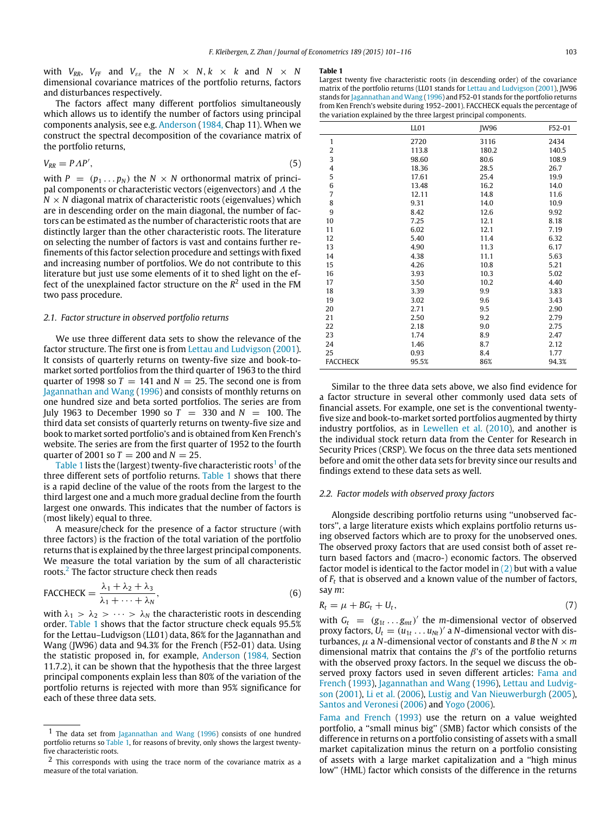with  $V_{RR}$ ,  $V_{FF}$  and  $V_{\varepsilon\varepsilon}$  the  $N \times N$ ,  $k \times k$  and  $N \times N$ dimensional covariance matrices of the portfolio returns, factors and disturbances respectively.

The factors affect many different portfolios simultaneously which allows us to identify the number of factors using principal components analysis, see e.g. [Anderson](#page-16-30) [\(1984,](#page-16-30) Chap 11). When we construct the spectral decomposition of the covariance matrix of the portfolio returns,

$$
V_{RR} = P\Lambda P',\tag{5}
$$

with  $P = (p_1 \dots p_N)$  the  $N \times N$  orthonormal matrix of principal components or characteristic vectors (eigenvectors) and  $\Lambda$  the  $N \times N$  diagonal matrix of characteristic roots (eigenvalues) which are in descending order on the main diagonal, the number of factors can be estimated as the number of characteristic roots that are distinctly larger than the other characteristic roots. The literature on selecting the number of factors is vast and contains further refinements of this factor selection procedure and settings with fixed and increasing number of portfolios. We do not contribute to this literature but just use some elements of it to shed light on the effect of the unexplained factor structure on the *R* <sup>2</sup> used in the FM two pass procedure.

# *2.1. Factor structure in observed portfolio returns*

We use three different data sets to show the relevance of the factor structure. The first one is from [Lettau](#page-16-10) [and](#page-16-10) [Ludvigson](#page-16-10) [\(2001\)](#page-16-10). It consists of quarterly returns on twenty-five size and book-tomarket sorted portfolios from the third quarter of 1963 to the third quarter of 1998 so  $T = 141$  and  $N = 25$ . The second one is from [Jagannathan](#page-16-8) [and](#page-16-8) [Wang](#page-16-8) [\(1996\)](#page-16-8) and consists of monthly returns on one hundred size and beta sorted portfolios. The series are from July 1963 to December 1990 so  $T = 330$  and  $N = 100$ . The third data set consists of quarterly returns on twenty-five size and book to market sorted portfolio's and is obtained from Ken French's website. The series are from the first quarter of 1952 to the fourth quarter of 2001 so  $T = 200$  and  $N = 25$ .

[Table 1](#page-3-0) lists the (largest) twenty-five characteristic roots $<sup>1</sup>$  $<sup>1</sup>$  $<sup>1</sup>$  of the</sup> three different sets of portfolio returns. [Table 1](#page-3-0) shows that there is a rapid decline of the value of the roots from the largest to the third largest one and a much more gradual decline from the fourth largest one onwards. This indicates that the number of factors is (most likely) equal to three.

A measure/check for the presence of a factor structure (with three factors) is the fraction of the total variation of the portfolio returns that is explained by the three largest principal components. We measure the total variation by the sum of all characteristic roots.<sup>[2](#page-3-2)</sup> The factor structure check then reads

$$
\text{FACCHECK} = \frac{\lambda_1 + \lambda_2 + \lambda_3}{\lambda_1 + \dots + \lambda_N},\tag{6}
$$

with  $\lambda_1 > \lambda_2 > \cdots > \lambda_N$  the characteristic roots in descending order. [Table 1](#page-3-0) shows that the factor structure check equals 95.5% for the Lettau–Ludvigson (LL01) data, 86% for the Jagannathan and Wang (JW96) data and 94.3% for the French (F52-01) data. Using the statistic proposed in, for example, [Anderson](#page-16-30) [\(1984,](#page-16-30) Section 11.7.2), it can be shown that the hypothesis that the three largest principal components explain less than 80% of the variation of the portfolio returns is rejected with more than 95% significance for each of these three data sets.

#### <span id="page-3-0"></span>**Table 1**

<span id="page-3-3"></span>

|                 | LL01  | <b>IW96</b> | F52-01 |
|-----------------|-------|-------------|--------|
| $\mathbf{1}$    | 2720  | 3116        | 2434   |
| 2               | 113.8 | 180.2       | 140.5  |
| 3               | 98.60 | 80.6        | 108.9  |
| 4               | 18.36 | 28.5        | 26.7   |
| 5               | 17.61 | 25.4        | 19.9   |
| 6               | 13.48 | 16.2        | 14.0   |
| 7               | 12.11 | 14.8        | 11.6   |
| 8               | 9.31  | 14.0        | 10.9   |
| 9               | 8.42  | 12.6        | 9.92   |
| 10              | 7.25  | 12.1        | 8.18   |
| 11              | 6.02  | 12.1        | 7.19   |
| 12              | 5.40  | 11.4        | 6.32   |
| 13              | 4.90  | 11.3        | 6.17   |
| 14              | 4.38  | 11.1        | 5.63   |
| 15              | 4.26  | 10.8        | 5.21   |
| 16              | 3.93  | 10.3        | 5.02   |
| 17              | 3.50  | 10.2        | 4.40   |
| 18              | 3.39  | 9.9         | 3.83   |
| 19              | 3.02  | 9.6         | 3.43   |
| 20              | 2.71  | 9.5         | 2.90   |
| 21              | 2.50  | 9.2         | 2.79   |
| 22              | 2.18  | 9.0         | 2.75   |
| 23              | 1.74  | 8.9         | 2.47   |
| 24              | 1.46  | 8.7         | 2.12   |
| 25              | 0.93  | 8.4         | 1.77   |
| <b>FACCHECK</b> | 95.5% | 86%         | 94.3%  |

Similar to the three data sets above, we also find evidence for a factor structure in several other commonly used data sets of financial assets. For example, one set is the conventional twentyfive size and book-to-market sorted portfolios augmented by thirty industry portfolios, as in [Lewellen](#page-16-18) [et al.](#page-16-18) [\(2010\)](#page-16-18), and another is the individual stock return data from the Center for Research in Security Prices (CRSP). We focus on the three data sets mentioned before and omit the other data sets for brevity since our results and findings extend to these data sets as well.

## *2.2. Factor models with observed proxy factors*

Alongside describing portfolio returns using ''unobserved factors'', a large literature exists which explains portfolio returns using observed factors which are to proxy for the unobserved ones. The observed proxy factors that are used consist both of asset return based factors and (macro-) economic factors. The observed factor model is identical to the factor model in  $(2)$  but with a value of *F<sup>t</sup>* that is observed and a known value of the number of factors, say *m*:

<span id="page-3-5"></span><span id="page-3-4"></span>
$$
R_t = \mu + BG_t + U_t, \tag{7}
$$

with  $G_t = (g_{1t} \dots g_{mt})'$  the *m*-dimensional vector of observed proxy factors,  $U_t = (u_{1t} \dots u_{Nt})'$  a *N*-dimensional vector with disturbances,  $\mu$  a *N*-dimensional vector of constants and *B* the *N*  $\times$  *m* dimensional matrix that contains the  $\beta$ 's of the portfolio returns with the observed proxy factors. In the sequel we discuss the observed proxy factors used in seven different articles: [Fama](#page-16-6) [and](#page-16-6) [French](#page-16-6) [\(1993\)](#page-16-6), [Jagannathan](#page-16-8) [and](#page-16-8) [Wang](#page-16-8) [\(1996\)](#page-16-8), [Lettau](#page-16-10) [and](#page-16-10) [Ludvig](#page-16-10)[son](#page-16-10) [\(2001\)](#page-16-10), [Li](#page-16-12) [et al.](#page-16-12) [\(2006\)](#page-16-12), [Lustig](#page-16-11) [and](#page-16-11) [Van](#page-16-11) [Nieuwerburgh](#page-16-11) [\(2005\)](#page-16-11), [Santos](#page-16-13) [and](#page-16-13) [Veronesi](#page-16-13) [\(2006\)](#page-16-13) and [Yogo](#page-16-31) [\(2006\)](#page-16-31).

[Fama](#page-16-6) [and](#page-16-6) [French](#page-16-6) [\(1993\)](#page-16-6) use the return on a value weighted portfolio, a ''small minus big'' (SMB) factor which consists of the difference in returns on a portfolio consisting of assets with a small market capitalization minus the return on a portfolio consisting of assets with a large market capitalization and a ''high minus low'' (HML) factor which consists of the difference in the returns

<span id="page-3-1"></span>The data set from [Jagannathan](#page-16-8) [and](#page-16-8) [Wang](#page-16-8) [\(1996\)](#page-16-8) consists of one hundred portfolio returns so [Table 1,](#page-3-0) for reasons of brevity, only shows the largest twentyfive characteristic roots.

<span id="page-3-2"></span><sup>2</sup> This corresponds with using the trace norm of the covariance matrix as a measure of the total variation.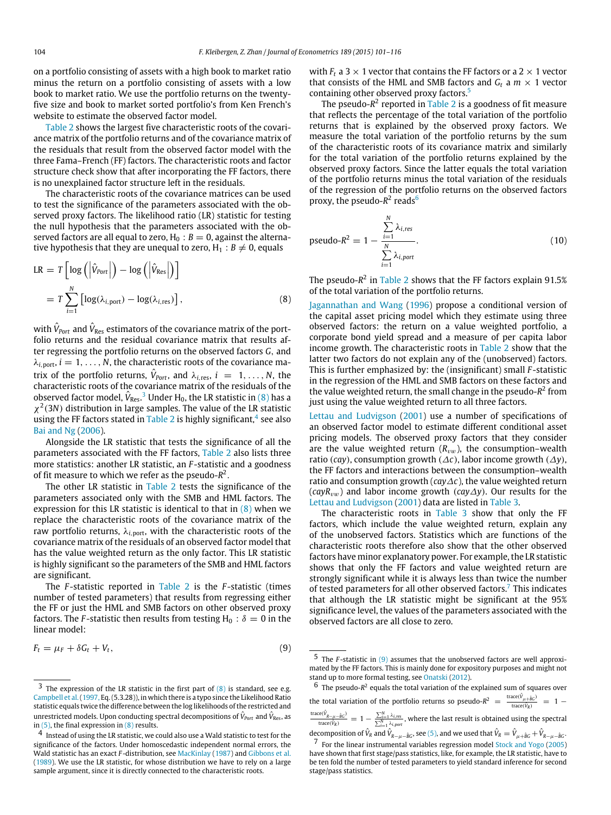on a portfolio consisting of assets with a high book to market ratio minus the return on a portfolio consisting of assets with a low book to market ratio. We use the portfolio returns on the twentyfive size and book to market sorted portfolio's from Ken French's website to estimate the observed factor model.

[Table 2](#page-5-0) shows the largest five characteristic roots of the covariance matrix of the portfolio returns and of the covariance matrix of the residuals that result from the observed factor model with the three Fama–French (FF) factors. The characteristic roots and factor structure check show that after incorporating the FF factors, there is no unexplained factor structure left in the residuals.

The characteristic roots of the covariance matrices can be used to test the significance of the parameters associated with the observed proxy factors. The likelihood ratio (LR) statistic for testing the null hypothesis that the parameters associated with the observed factors are all equal to zero,  $H_0$  :  $B = 0$ , against the alternative hypothesis that they are unequal to zero,  $H_1 : B \neq 0$ , equals

$$
LR = T \left[ \log \left( \left| \hat{V}_{Port} \right| \right) - \log \left( \left| \hat{V}_{Res} \right| \right) \right]
$$
  
= 
$$
T \sum_{i=1}^{N} \left[ \log(\lambda_{i, port}) - \log(\lambda_{i, res}) \right],
$$
 (8)

with  $\hat{V}_{{\rm Port}}$  and  $\hat{V}_{{\rm Res}}$  estimators of the covariance matrix of the portfolio returns and the residual covariance matrix that results after regressing the portfolio returns on the observed factors *G*, and  $\lambda_{i, \text{port}}$ ,  $i = 1, \ldots, N$ , the characteristic roots of the covariance matrix of the portfolio returns,  $\hat{V}_{Port}$ , and  $\lambda_{i, res}$ ,  $i = 1, ..., N$ , the characteristic roots of the covariance matrix of the residuals of the observed factor model,  $\hat{V}_{\rm Res.}$   $^3$  $^3$  Under H<sub>0</sub>, the LR statistic in [\(8\)](#page-4-1) has a  $\chi^2$ (3*N*) distribution in large samples. The value of the LR statistic using the FF factors stated in [Table 2](#page-5-0) is highly significant,<sup>[4](#page-4-2)</sup> see also [Bai](#page-16-32) [and](#page-16-32) [Ng](#page-16-32) [\(2006\)](#page-16-32).

Alongside the LR statistic that tests the significance of all the parameters associated with the FF factors, [Table 2](#page-5-0) also lists three more statistics: another LR statistic, an *F* -statistic and a goodness of fit measure to which we refer as the pseudo-*R* 2 .

The other LR statistic in [Table 2](#page-5-0) tests the significance of the parameters associated only with the SMB and HML factors. The expression for this LR statistic is identical to that in  $(8)$  when we replace the characteristic roots of the covariance matrix of the raw portfolio returns,  $λ_{i, port}$ , with the characteristic roots of the covariance matrix of the residuals of an observed factor model that has the value weighted return as the only factor. This LR statistic is highly significant so the parameters of the SMB and HML factors are significant.

The *F* -statistic reported in [Table 2](#page-5-0) is the *F* -statistic (times number of tested parameters) that results from regressing either the FF or just the HML and SMB factors on other observed proxy factors. The *F*-statistic then results from testing  $H_0$  :  $\delta = 0$  in the linear model:

$$
F_t = \mu_F + \delta G_t + V_t, \tag{9}
$$

with  $F_t$  a 3  $\times$  1 vector that contains the FF factors or a 2  $\times$  1 vector that consists of the HML and SMB factors and  $G_t$  a  $m \times 1$  vector containing other observed proxy factors.<sup>[5](#page-4-3)</sup>

The pseudo-R<sup>2</sup> reported in [Table 2](#page-5-0) is a goodness of fit measure that reflects the percentage of the total variation of the portfolio returns that is explained by the observed proxy factors. We measure the total variation of the portfolio returns by the sum of the characteristic roots of its covariance matrix and similarly for the total variation of the portfolio returns explained by the observed proxy factors. Since the latter equals the total variation of the portfolio returns minus the total variation of the residuals of the regression of the portfolio returns on the observed factors proxy, the pseudo-R<sup>2</sup> reads<sup>[6](#page-4-4)</sup>

pseudo-R<sup>2</sup> = 1 - 
$$
\frac{\sum_{i=1}^{N} \lambda_{i, res}}{\sum_{i=1}^{N} \lambda_{i, port}}
$$
 (10)

<span id="page-4-1"></span>The pseudo- $R^2$  in [Table 2](#page-5-0) shows that the FF factors explain 91.5% of the total variation of the portfolio returns.

[Jagannathan](#page-16-8) [and](#page-16-8) [Wang](#page-16-8) [\(1996\)](#page-16-8) propose a conditional version of the capital asset pricing model which they estimate using three observed factors: the return on a value weighted portfolio, a corporate bond yield spread and a measure of per capita labor income growth. The characteristic roots in [Table 2](#page-5-0) show that the latter two factors do not explain any of the (unobserved) factors. This is further emphasized by: the (insignificant) small *F* -statistic in the regression of the HML and SMB factors on these factors and the value weighted return, the small change in the pseudo-*R* 2 from just using the value weighted return to all three factors.

[Lettau](#page-16-10) [and](#page-16-10) [Ludvigson](#page-16-10) [\(2001\)](#page-16-10) use a number of specifications of an observed factor model to estimate different conditional asset pricing models. The observed proxy factors that they consider are the value weighted return  $(R_{vw})$ , the consumption–wealth ratio (*cay*), consumption growth ( $\Delta c$ ), labor income growth ( $\Delta y$ ), the FF factors and interactions between the consumption–wealth ratio and consumption growth (*cay*∆*c*), the value weighted return (*cayR*vw) and labor income growth (*cay*∆*y*). Our results for the [Lettau](#page-16-10) [and](#page-16-10) [Ludvigson](#page-16-10) [\(2001\)](#page-16-10) data are listed in [Table 3.](#page-5-1)

The characteristic roots in [Table 3](#page-5-1) show that only the FF factors, which include the value weighted return, explain any of the unobserved factors. Statistics which are functions of the characteristic roots therefore also show that the other observed factors have minor explanatory power. For example, the LR statistic shows that only the FF factors and value weighted return are strongly significant while it is always less than twice the number of tested parameters for all other observed factors.<sup>[7](#page-4-5)</sup> This indicates that although the LR statistic might be significant at the 95% significance level, the values of the parameters associated with the observed factors are all close to zero.

<span id="page-4-4"></span> $6$  The pseudo- $R^2$  equals the total variation of the explained sum of squares over the total variation of the portfolio returns so pseudo- $R^2 = \frac{\text{trace}(\hat{V}_{\mu+\hat{B}G})}{\text{trace}(\hat{V}_R)} = 1 \frac{\text{trace}(\hat{V}_{R-\mu-\hat{B}G})}{\text{trace}(\hat{V}_{R})}$  = 1 −  $\frac{\sum_{i=1}^{N}\lambda_{i,res}}{\sum_{i=1}^{N} \lambda_{i$  $,port}}$ , where the last result is obtained using the spectral decomposition of  $\hat{V}_R$  and  $\hat{V}_{R-\mu-\hat{B}G}$ , see [\(5\),](#page-3-3) and we used that  $\hat{V}_R = \hat{V}_{\mu+\hat{B}G} + \hat{V}_{R-\mu-\hat{B}G}$ .

<span id="page-4-0"></span> $3$  The expression of the LR statistic in the first part of  $(8)$  is standard, see e.g. [Campbell](#page-16-33) [et al.\(1997,](#page-16-33) Eq. (5.3.28)), in which there is a typo since the Likelihood Ratio statistic equals twice the difference between the log likelihoods of the restricted and unrestricted models. Upon conducting spectral decompositions of  $\hat{V}_{{Port}}$  and  $\hat{V}_{{\rm Res}},$  as in  $(5)$ , the final expression in  $(8)$  results.

<span id="page-4-2"></span><sup>4</sup> Instead of using the LR statistic, we could also use a Wald statistic to test for the significance of the factors. Under homoscedastic independent normal errors, the Wald statistic has an exact *F* -distribution, see [MacKinlay](#page-16-19) [\(1987\)](#page-16-19) and [Gibbons](#page-16-20) [et al.](#page-16-20) [\(1989\)](#page-16-20). We use the LR statistic, for whose distribution we have to rely on a large sample argument, since it is directly connected to the characteristic roots.

<span id="page-4-6"></span><span id="page-4-3"></span><sup>5</sup> The *F* -statistic in [\(9\)](#page-4-6) assumes that the unobserved factors are well approximated by the FF factors. This is mainly done for expository purposes and might not stand up to more formal testing, see [Onatski](#page-16-34) [\(2012\)](#page-16-34).

<span id="page-4-5"></span><sup>7</sup> For the linear instrumental variables regression model [Stock](#page-16-35) [and](#page-16-35) [Yogo](#page-16-35) [\(2005\)](#page-16-35) have shown that first stage/pass statistics, like, for example, the LR statistic, have to be ten fold the number of tested parameters to yield standard inference for second stage/pass statistics.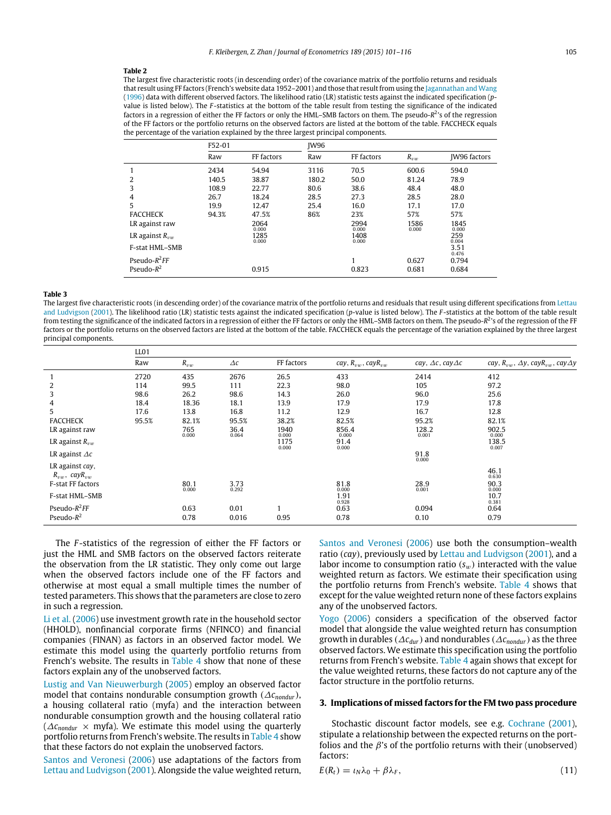#### <span id="page-5-0"></span>**Table 2**

The largest five characteristic roots (in descending order) of the covariance matrix of the portfolio returns and residuals that result using FF factors (French's website data 1952-2001) and those that result from using the [Jagannathan](#page-16-8) [and](#page-16-8) [Wang](#page-16-8) [\(1996\)](#page-16-8) data with different observed factors. The likelihood ratio (LR) statistic tests against the indicated specification (*p*value is listed below). The *F* -statistics at the bottom of the table result from testing the significance of the indicated factors in a regression of either the FF factors or only the HML-SMB factors on them. The pseudo-R<sup>2</sup>'s of the regression of the FF factors or the portfolio returns on the observed factors are listed at the bottom of the table. FACCHECK equals the percentage of the variation explained by the three largest principal components.

|                       | F52-01 |               | <b>IW96</b> |               |               |                     |
|-----------------------|--------|---------------|-------------|---------------|---------------|---------------------|
|                       | Raw    | FF factors    | Raw         | FF factors    | $R_{vw}$      | <b>IW96 factors</b> |
|                       | 2434   | 54.94         | 3116        | 70.5          | 600.6         | 594.0               |
| 2                     | 140.5  | 38.87         | 180.2       | 50.0          | 81.24         | 78.9                |
| 3                     | 108.9  | 22.77         | 80.6        | 38.6          | 48.4          | 48.0                |
| 4                     | 26.7   | 18.24         | 28.5        | 27.3          | 28.5          | 28.0                |
| 5                     | 19.9   | 12.47         | 25.4        | 16.0          | 17.1          | 17.0                |
| <b>FACCHECK</b>       | 94.3%  | 47.5%         | 86%         | 23%           | 57%           | 57%                 |
| LR against raw        |        | 2064<br>0.000 |             | 2994<br>0.000 | 1586<br>0.000 | 1845<br>0.000       |
| LR against $R_{vw}$   |        | 1285<br>0.000 |             | 1408<br>0.000 |               | 259<br>0.004        |
| <b>F-stat HML-SMB</b> |        |               |             |               |               | 3.51<br>0.476       |
| Pseudo- $R^2FF$       |        |               |             | ٠             | 0.627         | 0.794               |
| Pseudo- $R^2$         |        | 0.915         |             | 0.823         | 0.681         | 0.684               |

#### <span id="page-5-1"></span>**Table 3**

The largest five characteristic roots (in descending order) of the covariance matrix of the portfolio returns and residuals that result using different specifications from [Lettau](#page-16-10) [and](#page-16-10) [Ludvigson](#page-16-10) [\(2001\)](#page-16-10). The likelihood ratio (LR) statistic tests against the indicated specification (*p*-value is listed below). The *F* -statistics at the bottom of the table result from testing the significance of the indicated factors in a regression of either the FF factors or only the HML-SMB factors on them. The pseudo-R<sup>2</sup>'s of the regression of the FF factors or the portfolio returns on the observed factors are listed at the bottom of the table. FACCHECK equals the percentage of the variation explained by the three largest principal components.

|                                            | LL01  |               |               |               |                              |                                  |                                                            |  |  |
|--------------------------------------------|-------|---------------|---------------|---------------|------------------------------|----------------------------------|------------------------------------------------------------|--|--|
|                                            | Raw   | $R_{vw}$      | $\Delta c$    | FF factors    | cay, $R_{vw}$ , cay $R_{vw}$ | cay, $\Delta c$ , cay $\Delta c$ | cay, $R_{vw}$ , $\Delta y$ , cay $R_{vw}$ , cay $\Delta y$ |  |  |
|                                            | 2720  | 435           | 2676          | 26.5          | 433                          | 2414                             | 412                                                        |  |  |
| 2                                          | 114   | 99.5          | 111           | 22.3          | 98.0                         | 105                              | 97.2                                                       |  |  |
| 3                                          | 98.6  | 26.2          | 98.6          | 14.3          | 26.0                         | 96.0                             | 25.6                                                       |  |  |
| 4                                          | 18.4  | 18.36         | 18.1          | 13.9          | 17.9                         | 17.9                             | 17.8                                                       |  |  |
| 5.                                         | 17.6  | 13.8          | 16.8          | 11.2          | 12.9                         | 16.7                             | 12.8                                                       |  |  |
| <b>FACCHECK</b>                            | 95.5% | 82.1%         | 95.5%         | 38.2%         | 82.5%                        | 95.2%                            | 82.1%                                                      |  |  |
| LR against raw                             |       | 765<br>0.000  | 36.4<br>0.064 | 1940<br>0.000 | 856.4<br>0.000               | 128.2<br>0.001                   | 902.5<br>0.000                                             |  |  |
| LR against $R_{vw}$                        |       |               |               | 1175<br>0.000 | 91.4<br>0.000                |                                  | 138.5<br>0.007                                             |  |  |
| LR against $\Delta c$                      |       |               |               |               |                              | 91.8<br>0.000                    |                                                            |  |  |
| LR against cay,<br>$R_{vw}$ , cay $R_{vw}$ |       |               |               |               |                              |                                  | 46.1<br>0.630                                              |  |  |
| F-stat FF factors                          |       | 80.1<br>0.000 | 3.73          |               | 81.8<br>0.000                | 28.9<br>0.001                    | 90.3<br>0.000                                              |  |  |
| F-stat HML-SMB                             |       |               | 0.292         |               | 1.91<br>0.928                |                                  | 10.7<br>0.381                                              |  |  |
| Pseudo- $R^2$ FF                           |       | 0.63          | 0.01          |               | 0.63                         | 0.094                            | 0.64                                                       |  |  |
| Pseudo- $R^2$                              |       | 0.78          | 0.016         | 0.95          | 0.78                         | 0.10                             | 0.79                                                       |  |  |

The *F* -statistics of the regression of either the FF factors or just the HML and SMB factors on the observed factors reiterate the observation from the LR statistic. They only come out large when the observed factors include one of the FF factors and otherwise at most equal a small multiple times the number of tested parameters. This shows that the parameters are close to zero in such a regression.

[Li](#page-16-12) [et al.](#page-16-12) [\(2006\)](#page-16-12) use investment growth rate in the household sector (HHOLD), nonfinancial corporate firms (NFINCO) and financial companies (FINAN) as factors in an observed factor model. We estimate this model using the quarterly portfolio returns from French's website. The results in [Table 4](#page-6-0) show that none of these factors explain any of the unobserved factors.

[Lustig](#page-16-11) [and](#page-16-11) [Van](#page-16-11) [Nieuwerburgh](#page-16-11) [\(2005\)](#page-16-11) employ an observed factor model that contains nondurable consumption growth (∆*cnondur*), a housing collateral ratio (myfa) and the interaction between nondurable consumption growth and the housing collateral ratio (∆*cnondur* × myfa). We estimate this model using the quarterly portfolio returns from French's website. The results in [Table 4](#page-6-0) show that these factors do not explain the unobserved factors.

[Santos](#page-16-13) [and](#page-16-13) [Veronesi](#page-16-13) [\(2006\)](#page-16-13) use adaptations of the factors from [Lettau](#page-16-10) [and](#page-16-10) [Ludvigson](#page-16-10) [\(2001\)](#page-16-10). Alongside the value weighted return, [Santos](#page-16-13) [and](#page-16-13) [Veronesi](#page-16-13) [\(2006\)](#page-16-13) use both the consumption–wealth ratio (*cay*), previously used by [Lettau](#page-16-10) [and](#page-16-10) [Ludvigson](#page-16-10) [\(2001\)](#page-16-10), and a labor income to consumption ratio  $(s_w)$  interacted with the value weighted return as factors. We estimate their specification using the portfolio returns from French's website. [Table 4](#page-6-0) shows that except for the value weighted return none of these factors explains any of the unobserved factors.

[Yogo](#page-16-31) [\(2006\)](#page-16-31) considers a specification of the observed factor model that alongside the value weighted return has consumption growth in durables (∆*cdur*) and nondurables (∆*cnondur*) as the three observed factors. We estimate this specification using the portfolio returns from French's website. [Table 4](#page-6-0) again shows that except for the value weighted returns, these factors do not capture any of the factor structure in the portfolio returns.

# **3. Implications of missed factors for the FM two pass procedure**

Stochastic discount factor models, see e.g. [Cochrane](#page-16-3) [\(2001\)](#page-16-3), stipulate a relationship between the expected returns on the portfolios and the  $\beta$ 's of the portfolio returns with their (unobserved) factors:

<span id="page-5-2"></span>
$$
E(R_t) = \iota_N \lambda_0 + \beta \lambda_F, \qquad (11)
$$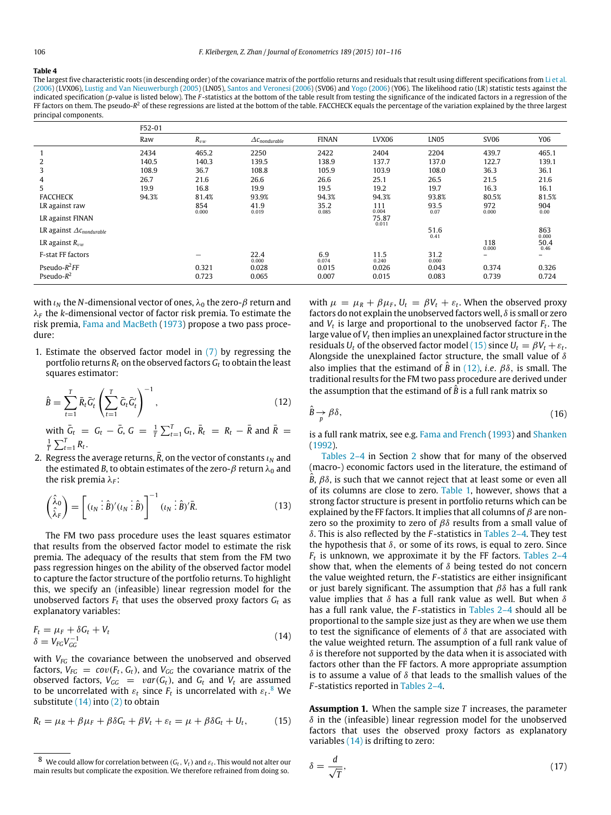#### <span id="page-6-0"></span>**Table 4**

The largest five characteristic roots (in descending order) of the covariance matrix of the portfolio returns and residuals that result using different specifications from [Li](#page-16-12) [et al.](#page-16-12) [\(2006\)](#page-16-12) (LVX06), [Lustig](#page-16-11) [and](#page-16-11) [Van](#page-16-11) [Nieuwerburgh](#page-16-11) [\(2005\)](#page-16-11) (LN05), [Santos](#page-16-13) [and](#page-16-13) [Veronesi](#page-16-13) [\(2006\)](#page-16-13) (SV06) and [Yogo](#page-16-31) [\(2006\)](#page-16-31) (Y06). The likelihood ratio (LR) statistic tests against the indicated specification (*p*-value is listed below). The *F* -statistics at the bottom of the table result from testing the significance of the indicated factors in a regression of the FF factors on them. The pseudo-*R* <sup>2</sup> of these regressions are listed at the bottom of the table. FACCHECK equals the percentage of the variation explained by the three largest principal components.

|                                    | F52-01 |              |                                     |               |                |                        |              |              |  |
|------------------------------------|--------|--------------|-------------------------------------|---------------|----------------|------------------------|--------------|--------------|--|
|                                    | Raw    | $R_{vw}$     | $\varDelta$ C <sub>nondurable</sub> | <b>FINAN</b>  | LVX06          | <b>LN05</b>            | <b>SV06</b>  | Y06          |  |
|                                    | 2434   | 465.2        | 2250                                | 2422          | 2404           | 2204                   | 439.7        | 465.1        |  |
| 2                                  | 140.5  | 140.3        | 139.5                               | 138.9         | 137.7          | 137.0                  | 122.7        | 139.1        |  |
| 3                                  | 108.9  | 36.7         | 108.8                               | 105.9         | 103.9          | 108.0                  | 36.3         | 36.1         |  |
| 4                                  | 26.7   | 21.6         | 26.6                                | 26.6          | 25.1           | 26.5                   | 21.5         | 21.6         |  |
| 5                                  | 19.9   | 16.8         | 19.9                                | 19.5          | 19.2           | 19.7                   | 16.3         | 16.1         |  |
| <b>FACCHECK</b>                    | 94.3%  | 81.4%        | 93.9%                               | 94.3%         | 94.3%          | 93.8%                  | 80.5%        | 81.5%        |  |
| LR against raw                     |        | 854<br>0.000 | 41.9<br>0.019                       | 35.2<br>0.085 | 111<br>0.004   | 93.5<br>0.07           | 972<br>0.000 | 904<br>0.00  |  |
| LR against FINAN                   |        |              |                                     |               | 75.87<br>0.011 |                        |              |              |  |
| LR against $\Delta c_{nondurable}$ |        |              |                                     |               |                | $51.6$ <sub>0.41</sub> |              | 863<br>0.000 |  |
| LR against $R_{vw}$                |        |              |                                     |               |                |                        | 118<br>0.000 | 50.4<br>0.46 |  |
| F-stat FF factors                  |        | -            | 22.4<br>0.000                       | 6.9<br>0.074  | 11.5<br>0.240  | 31.2<br>0.000          | -            | -            |  |
| Pseudo- $R^2$ FF                   |        | 0.321        | 0.028                               | 0.015         | 0.026          | 0.043                  | 0.374        | 0.326        |  |
| Pseudo- $R^2$                      |        | 0.723        | 0.065                               | 0.007         | 0.015          | 0.083                  | 0.739        | 0.724        |  |

with  $\iota_N$  the *N*-dimensional vector of ones,  $\lambda_0$  the zero- $\beta$  return and λ*<sup>F</sup>* the *k*-dimensional vector of factor risk premia. To estimate the risk premia, [Fama](#page-16-0) [and](#page-16-0) [MacBeth](#page-16-0) [\(1973\)](#page-16-0) propose a two pass procedure:

1. Estimate the observed factor model in  $(7)$  by regressing the portfolio returns  $R_t$  on the observed factors  $G_t$  to obtain the least squares estimator:

$$
\hat{B} = \sum_{t=1}^{T} \bar{R}_t \bar{G}'_t \left( \sum_{t=1}^{T} \bar{G}_t \bar{G}'_t \right)^{-1},\tag{12}
$$

 $\frac{1}{4}$   $\sum_{t=1}^{T} G_t$ ,  $\bar{R}_t = R_t - \bar{R}$  and  $\bar{R}_t = R_t - \bar{R}$  and  $\bar{R}_t = R_t - \bar{R}$  $\frac{1}{T} \sum_{t=1}^{T} R_t$ .

2. Regress the average returns,  $\bar{R}$ , on the vector of constants  $\iota_N$  and the estimated *B*, to obtain estimates of the zero- $\beta$  return  $\lambda_0$  and the risk premia λ<sub>F</sub>:

$$
\begin{pmatrix} \hat{\lambda}_0 \\ \hat{\lambda}_F \end{pmatrix} = \begin{bmatrix} (\iota_N \vdots \hat{B})' (\iota_N \vdots \hat{B}) \end{bmatrix}^{-1} (\iota_N \vdots \hat{B})' \bar{R}.
$$
 (13)

The FM two pass procedure uses the least squares estimator that results from the observed factor model to estimate the risk premia. The adequacy of the results that stem from the FM two pass regression hinges on the ability of the observed factor model to capture the factor structure of the portfolio returns. To highlight this, we specify an (infeasible) linear regression model for the unobserved factors  $F_t$  that uses the observed proxy factors  $G_t$  as explanatory variables:

$$
F_t = \mu_F + \delta G_t + V_t
$$
  
\n
$$
\delta = V_{FG} V_{GG}^{-1}
$$
\n(14)

with *VFG* the covariance between the unobserved and observed factors,  $V_{FG} = cov(F_t, G_t)$ , and  $V_{GG}$  the covariance matrix of the observed factors,  $V_{GG}$  =  $var(G_t)$ , and  $G_t$  and  $V_t$  are assumed to be uncorrelated with  $\varepsilon_t$  since  $F_t$  is uncorrelated with  $\varepsilon_t$ .<sup>[8](#page-6-1)</sup> We substitute  $(14)$  into  $(2)$  to obtain

$$
R_t = \mu_R + \beta \mu_F + \beta \delta G_t + \beta V_t + \varepsilon_t = \mu + \beta \delta G_t + U_t, \qquad (15)
$$

with  $\mu = \mu_R + \beta \mu_F$ ,  $U_t = \beta V_t + \varepsilon_t$ . When the observed proxy factors do not explain the unobserved factors well,  $\delta$  is small or zero and  $V_t$  is large and proportional to the unobserved factor  $F_t$ . The large value of *V<sup>t</sup>* then implies an unexplained factor structure in the residuals  $U_t$  of the observed factor model [\(15\)](#page-6-3) since  $U_t = \beta V_t + \varepsilon_t$ . Alongside the unexplained factor structure, the small value of  $\delta$ also implies that the estimand of  $\hat{B}$  in [\(12\),](#page-6-4) *i.e.*  $\beta\delta$ , is small. The traditional results for the FM two pass procedure are derived under the assumption that the estimand of  $\hat{B}$  is a full rank matrix so

<span id="page-6-7"></span><span id="page-6-4"></span>
$$
\hat{B} \to \beta \delta,\tag{16}
$$

is a full rank matrix, see e.g. [Fama](#page-16-6) [and](#page-16-6) [French](#page-16-6) [\(1993\)](#page-16-6) and [Shanken](#page-16-2) [\(1992\)](#page-16-2).

[Tables 2–4](#page-5-0) in Section [2](#page-2-2) show that for many of the observed (macro-) economic factors used in the literature, the estimand of  $\hat{B}$ ,  $\beta\delta$ , is such that we cannot reject that at least some or even all of its columns are close to zero. [Table 1,](#page-3-0) however, shows that a strong factor structure is present in portfolio returns which can be explained by the FF factors. It implies that all columns of  $\beta$  are nonzero so the proximity to zero of  $\beta\delta$  results from a small value of δ. This is also reflected by the *F* -statistics in [Tables 2–4.](#page-5-0) They test the hypothesis that  $\delta$ , or some of its rows, is equal to zero. Since *Ft* is unknown, we approximate it by the FF factors. [Tables 2–4](#page-5-0) show that, when the elements of  $\delta$  being tested do not concern the value weighted return, the *F* -statistics are either insignificant or just barely significant. The assumption that  $\beta\delta$  has a full rank value implies that  $\delta$  has a full rank value as well. But when  $\delta$ has a full rank value, the *F* -statistics in [Tables 2–4](#page-5-0) should all be proportional to the sample size just as they are when we use them to test the significance of elements of  $\delta$  that are associated with the value weighted return. The assumption of a full rank value of  $\delta$  is therefore not supported by the data when it is associated with factors other than the FF factors. A more appropriate assumption is to assume a value of  $\delta$  that leads to the smallish values of the *F* -statistics reported in [Tables 2–4.](#page-5-0)

<span id="page-6-5"></span><span id="page-6-3"></span><span id="page-6-2"></span>**Assumption 1.** When the sample size *T* increases, the parameter  $\delta$  in the (infeasible) linear regression model for the unobserved factors that uses the observed proxy factors as explanatory variables [\(14\)](#page-6-2) is drifting to zero:

<span id="page-6-6"></span>
$$
\delta = \frac{d}{\sqrt{T}},\tag{17}
$$

<span id="page-6-1"></span> $^8\,$  We could allow for correlation between  $(G_t,V_t)$  and  $\varepsilon_t.$  This would not alter our main results but complicate the exposition. We therefore refrained from doing so.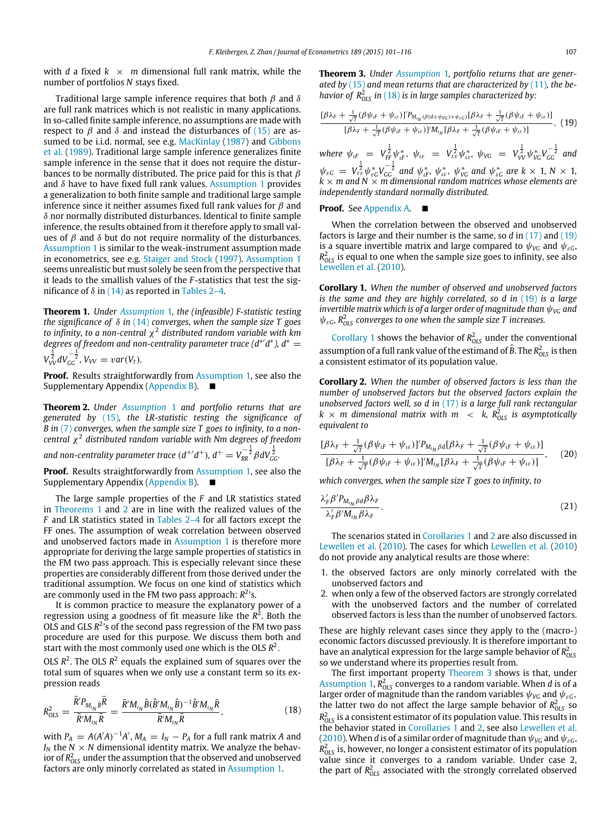with *d* a fixed  $k \times m$  dimensional full rank matrix, while the number of portfolios *N* stays fixed.

Traditional large sample inference requires that both  $\beta$  and  $\delta$ are full rank matrices which is not realistic in many applications. In so-called finite sample inference, no assumptions are made with respect to  $\beta$  and  $\delta$  and instead the disturbances of [\(15\)](#page-6-3) are as-sumed to be i.i.d. normal, see e.g. [MacKinlay](#page-16-19) [\(1987\)](#page-16-19) and [Gibbons](#page-16-20) [et al.](#page-16-20) [\(1989\)](#page-16-20). Traditional large sample inference generalizes finite sample inference in the sense that it does not require the disturbances to be normally distributed. The price paid for this is that  $\beta$ and  $\delta$  have to have fixed full rank values. [Assumption 1](#page-6-5) provides a generalization to both finite sample and traditional large sample inference since it neither assumes fixed full rank values for  $\beta$  and  $\delta$  nor normally distributed disturbances. Identical to finite sample inference, the results obtained from it therefore apply to small values of  $\beta$  and  $\delta$  but do not require normality of the disturbances. [Assumption 1](#page-6-5) is similar to the weak-instrument assumption made in econometrics, see e.g. [Staiger](#page-16-21) [and](#page-16-21) [Stock](#page-16-21) [\(1997\)](#page-16-21). [Assumption 1](#page-6-5) seems unrealistic but must solely be seen from the perspective that it leads to the smallish values of the *F* -statistics that test the significance of  $\delta$  in [\(14\)](#page-6-2) as reported in [Tables 2–4.](#page-5-0)

<span id="page-7-0"></span>**Theorem 1.** *Under [Assumption](#page-6-5)* 1*, the (infeasible) F-statistic testing the significance of* δ *in* [\(14\)](#page-6-2) *converges, when the sample size T goes to infinity, to a non-central* χ 2 *distributed random variable with km* degrees of freedom and non-centrality parameter trace (d<sup>\*</sup>'d<sup>\*</sup>), d<sup>\*</sup> =  $V_{VV}^{\frac{1}{2}} dV_{GG}^{-\frac{1}{2}}$ ,  $V_{VV} = var(V_t)$ .

**Proof.** Results straightforwardly from [Assumption 1,](#page-6-5) see also the Supplementary Appendix [\(Appendix B\)](#page-16-36). ■

<span id="page-7-1"></span>**Theorem 2.** *Under [Assumption](#page-6-5)* 1 *and portfolio returns that are generated by* [\(15\)](#page-6-3)*, the LR-statistic testing the significance of B in* [\(7\)](#page-3-4) *converges, when the sample size T goes to infinity, to a noncentral* χ 2 *distributed random variable with Nm degrees of freedom*

and non-centrality parameter trace  $(d^{+'}d^{+})$ ,  $d^{+} = V_{RR}^{-\frac{1}{2}}\beta dV_{GC}^{\frac{1}{2}}$ .

**Proof.** Results straightforwardly from [Assumption 1,](#page-6-5) see also the Supplementary Appendix [\(Appendix B\)](#page-16-36).

The large sample properties of the *F* and LR statistics stated in [Theorems 1](#page-7-0) and [2](#page-7-1) are in line with the realized values of the *F* and LR statistics stated in [Tables 2–4](#page-5-0) for all factors except the FF ones. The assumption of weak correlation between observed and unobserved factors made in [Assumption 1](#page-6-5) is therefore more appropriate for deriving the large sample properties of statistics in the FM two pass approach. This is especially relevant since these properties are considerably different from those derived under the traditional assumption. We focus on one kind of statistics which are commonly used in the FM two pass approach: *R* 2 's.

It is common practice to measure the explanatory power of a regression using a goodness of fit measure like the *R* 2 . Both the OLS and GLS  $R^2$ 's of the second pass regression of the FM two pass procedure are used for this purpose. We discuss them both and start with the most commonly used one which is the OLS *R* 2 .

OLS  $R^2$ . The OLS  $R^2$  equals the explained sum of squares over the total sum of squares when we only use a constant term so its expression reads

$$
R_{OLS}^2 = \frac{\bar{R}' P_{M_{l_N}\hat{B}}\bar{R}}{\bar{R}' M_{l_N}\bar{R}} = \frac{\bar{R}' M_{l_N}\hat{B}(\hat{B}' M_{l_N}\hat{B})^{-1}\hat{B}' M_{l_N}\bar{R}}{\bar{R}' M_{l_N}\bar{R}},
$$
(18)

with  $P_A = A(A'A)^{-1}A'$ ,  $M_A = I_N - P_A$  for a full rank matrix *A* and  $I_N$  the  $N \times N$  dimensional identity matrix. We analyze the behavior of  $R^2_{OLS}$  under the assumption that the observed and unobserved factors are only minorly correlated as stated in [Assumption 1.](#page-6-5)

<span id="page-7-6"></span>**Theorem 3.** *Under [Assumption](#page-6-5)* 1*, portfolio returns that are generated by* [\(15\)](#page-6-3) *and mean returns that are characterized by* [\(11\)](#page-5-2)*, the behavior of*  $R_{OLS}^2$  *in* [\(18\)](#page-7-2) *is in large samples characterized by:* 

<span id="page-7-3"></span>
$$
\frac{[\beta\lambda_F + \frac{1}{\sqrt{T}}(\beta\psi_{iF} + \psi_{i\varepsilon})]^T P_{M_{i_N}(\beta(d+\psi_{V\text{C}}) + \psi_{\varepsilon\text{C}})}[\beta\lambda_F + \frac{1}{\sqrt{T}}(\beta\psi_{iF} + \psi_{i\varepsilon})]}{[\beta\lambda_F + \frac{1}{\sqrt{T}}(\beta\psi_{iF} + \psi_{i\varepsilon})]^T M_{i_N}[\beta\lambda_F + \frac{1}{\sqrt{T}}(\beta\psi_{iF} + \psi_{i\varepsilon})]}, (19)
$$

 $w_{\text{HF}} = V_{\text{FF}}^{\frac{1}{2}} \psi_{\text{LF}}^* , \psi_{\text{LE}} = V_{\text{EE}}^{\frac{1}{2}} \psi_{\text{LE}}^* , \psi_{\text{VG}} = V_{\text{VV}}^{\frac{1}{2}} \psi_{\text{VG}}^* V_{\text{GG}}^{-\frac{1}{2}}$  and  $\psi_{\varepsilon G} = V_{\varepsilon \varepsilon}^{\frac{1}{2}} \psi_{\varepsilon G}^* V_{GG}^{-\frac{1}{2}}$  and  $\psi_{\iota F}^*$ ,  $\psi_{\iota \varepsilon}^*$ ,  $\psi_{\iota G}^*$  and  $\psi_{\varepsilon G}^*$  are  $k \times 1, N \times 1$ , *k* × *m and N* × *m dimensional random matrices whose elements are independently standard normally distributed.*

## **Proof.** See [Appendix A.](#page-14-0) ■

When the correlation between the observed and unobserved factors is large and their number is the same, so *d* in [\(17\)](#page-6-6) and [\(19\)](#page-7-3) is a square invertible matrix and large compared to  $\psi_{VG}$  and  $\psi_{\varepsilon G}$ ,  $R_{OLS}^2$  is equal to one when the sample size goes to infinity, see also [Lewellen](#page-16-18) [et al.](#page-16-18) [\(2010\)](#page-16-18).

<span id="page-7-4"></span>**Corollary 1.** *When the number of observed and unobserved factors is the same and they are highly correlated, so d in* [\(19\)](#page-7-3) *is a large invertible matrix which is of a larger order of magnitude than*  $\psi_{VG}$  *and*  $\psi_{\varepsilon G}$ *, R*<sub>OLS</sub> converges to one when the sample size T increases.

[Corollary 1](#page-7-4) shows the behavior of  $R_{OLS}^2$  under the conventional assumption of a full rank value of the estimand of  $\hat{B}$ . The  $R^2_{OLS}$  is then a consistent estimator of its population value.

<span id="page-7-5"></span>**Corollary 2.** *When the number of observed factors is less than the number of unobserved factors but the observed factors explain the unobserved factors well, so d in* [\(17\)](#page-6-6) *is a large full rank rectangular*  $k \times m$  dimensional matrix with  $m \leq k$ ,  $R_{OLS}^2$  is asymptotically *equivalent to*

$$
\frac{[\beta\lambda_F + \frac{1}{\sqrt{T}}(\beta\psi_{tF} + \psi_{t\epsilon})]'P_{M_{tN}\beta d}[\beta\lambda_F + \frac{1}{\sqrt{T}}(\beta\psi_{tF} + \psi_{t\epsilon})]}{[\beta\lambda_F + \frac{1}{\sqrt{T}}(\beta\psi_{tF} + \psi_{t\epsilon})]'M_{tN}[\beta\lambda_F + \frac{1}{\sqrt{T}}(\beta\psi_{tF} + \psi_{t\epsilon})]},
$$
(20)

*which converges, when the sample size T goes to infinity, to*

$$
\frac{\lambda'_{F}\beta'P_{M_{tN}\beta d}\beta\lambda_{F}}{\lambda'_{F}\beta'M_{tN}\beta\lambda_{F}}.\tag{21}
$$

The scenarios stated in [Corollaries 1](#page-7-4) and [2](#page-7-5) are also discussed in [Lewellen](#page-16-18) [et al.](#page-16-18) [\(2010\)](#page-16-18). The cases for which [Lewellen](#page-16-18) [et al.](#page-16-18) [\(2010\)](#page-16-18) do not provide any analytical results are those where:

- 1. the observed factors are only minorly correlated with the unobserved factors and
- 2. when only a few of the observed factors are strongly correlated with the unobserved factors and the number of correlated observed factors is less than the number of unobserved factors.

These are highly relevant cases since they apply to the (macro-) economic factors discussed previously. It is therefore important to have an analytical expression for the large sample behavior of  $R<sup>2</sup><sub>OLS</sub>$ so we understand where its properties result from.

<span id="page-7-2"></span>The first important property [Theorem 3](#page-7-6) shows is that, under [Assumption 1,](#page-6-5)  $R_{OLS}^2$  converges to a random variable. When *d* is of a larger order of magnitude than the random variables  $\psi_{VG}$  and  $\psi_{\varepsilon G}$ , the latter two do not affect the large sample behavior of  $R_{OLS}^2$  so  $R_{OLS}^2$  is a consistent estimator of its population value. This results in the behavior stated in [Corollaries 1](#page-7-4) and [2,](#page-7-5) see also [Lewellen](#page-16-18) [et al.](#page-16-18) [\(2010\)](#page-16-18). When *d* is of a similar order of magnitude than  $\psi_{VG}$  and  $\psi_{\varepsilon G}$ ,  $R_{OLS}^2$  is, however, no longer a consistent estimator of its population value since it converges to a random variable. Under case 2, the part of  $R_{OLS}^2$  associated with the strongly correlated observed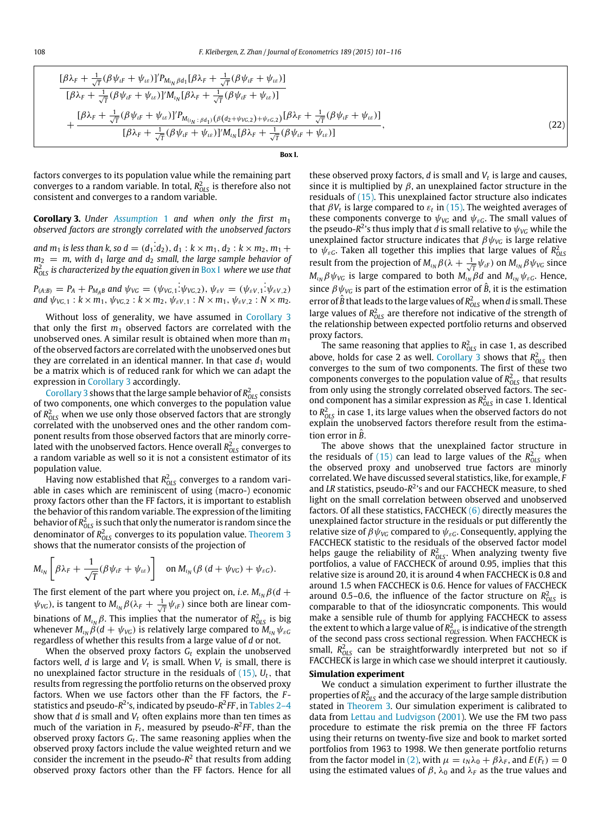<span id="page-8-0"></span>

$$
\frac{[\beta\lambda_{F} + \frac{1}{\sqrt{T}}(\beta\psi_{iF} + \psi_{i\epsilon})]'P_{M_{i_{N}}\beta d_{1}}[\beta\lambda_{F} + \frac{1}{\sqrt{T}}(\beta\psi_{iF} + \psi_{i\epsilon})]}{[\beta\lambda_{F} + \frac{1}{\sqrt{T}}(\beta\psi_{iF} + \psi_{i\epsilon})]'M_{i_{N}}[\beta\lambda_{F} + \frac{1}{\sqrt{T}}(\beta\psi_{iF} + \psi_{i\epsilon})]} + \frac{[\beta\lambda_{F} + \frac{1}{\sqrt{T}}(\beta\psi_{iF} + \psi_{i\epsilon})]'P_{M_{(i_{N}:\beta d_{1})}(\beta(d_{2} + \psi_{VG,2}) + \psi_{\epsilon G,2})}[\beta\lambda_{F} + \frac{1}{\sqrt{T}}(\beta\psi_{iF} + \psi_{i\epsilon})]}{[\beta\lambda_{F} + \frac{1}{\sqrt{T}}(\beta\psi_{iF} + \psi_{i\epsilon})]'M_{i_{N}}[\beta\lambda_{F} + \frac{1}{\sqrt{T}}(\beta\psi_{iF} + \psi_{i\epsilon})]} \tag{22}
$$

**Box I.**

factors converges to its population value while the remaining part converges to a random variable. In total,  $R_{\rm OLS}^2$  is therefore also not consistent and converges to a random variable.

<span id="page-8-1"></span>**Corollary 3.** *Under [Assumption](#page-6-5)* 1 *and when only the first m*<sup>1</sup> *observed factors are strongly correlated with the unobserved factors*

and  $m_1$  is less than k, so  $d = (d_1 \dot{d}_2), d_1 : k \times m_1, d_2 : k \times m_2, m_1 +$ *m*<sup>2</sup> = *m, with d*<sup>1</sup> *large and d*<sup>2</sup> *small, the large sample behavior of R* 2 *OLS is characterized by the equation given in* [Box I](#page-8-0) *where we use that*

 $P_{(A:B)} = P_A + P_{M_A B}$  and  $\psi_{VG} = (\psi_{VG,1}: \psi_{VG,2}), \psi_{\varepsilon V} = (\psi_{\varepsilon V,1}: \psi_{\varepsilon V,2})$ *and*  $\psi_{\text{VG},1} : k \times m_1, \, \psi_{\text{VG},2} : k \times m_2, \, \psi_{\varepsilon \text{V},1} : N \times m_1, \, \psi_{\varepsilon \text{V},2} : N \times m_2$ .

Without loss of generality, we have assumed in [Corollary 3](#page-8-1) that only the first  $m_1$  observed factors are correlated with the unobserved ones. A similar result is obtained when more than *m*<sup>1</sup> of the observed factors are correlated with the unobserved ones but they are correlated in an identical manner. In that case  $d_1$  would be a matrix which is of reduced rank for which we can adapt the expression in [Corollary 3](#page-8-1) accordingly.

[Corollary 3](#page-8-1) shows that the large sample behavior of  $R_{OLS}^2$  consists of two components, one which converges to the population value of  $R^2_{OLS}$  when we use only those observed factors that are strongly correlated with the unobserved ones and the other random component results from those observed factors that are minorly correlated with the unobserved factors. Hence overall  $R^2_{OLS}$  converges to a random variable as well so it is not a consistent estimator of its population value.

Having now established that  $R^2_{OLS}$  converges to a random variable in cases which are reminiscent of using (macro-) economic proxy factors other than the FF factors, it is important to establish the behavior of this random variable. The expression of the limiting behavior of  $R_{OLS}^2$  is such that only the numerator is random since the denominator of  $R^2_{OLS}$  converges to its population value. [Theorem 3](#page-7-6) shows that the numerator consists of the projection of

$$
M_{\iota_N}\left[\beta\lambda_F+\frac{1}{\sqrt{T}}(\beta\psi_{\iota F}+\psi_{\iota\epsilon})\right] \quad \text{on } M_{\iota_N}(\beta\ (d+\psi_{\text{VG}})+\psi_{\varepsilon\text{G}}).
$$

The first element of the part where you project on, *i.e.*  $M_{\iota_N}\beta(d +$  $\psi_{\text{VG}}$ ), is tangent to  $M_{\iota_N}\beta(\lambda_F + \frac{1}{\sqrt{T}}\psi_{\iota F})$  since both are linear combinations of  $M_{\iota_N}\beta$ . This implies that the numerator of  $R_{OLS}^2$  is big whenever  $M_{\iota_N}\overset{.}{\beta}(d+\psi_{\it VG})$  is relatively large compared to  $\widetilde{M}_{\iota_N}\psi_{\varepsilon G}$ regardless of whether this results from a large value of *d* or not.

When the observed proxy factors *G<sup>t</sup>* explain the unobserved factors well, *d* is large and *V<sup>t</sup>* is small. When *V<sup>t</sup>* is small, there is no unexplained factor structure in the residuals of [\(15\),](#page-6-3) *Ut*, that results from regressing the portfolio returns on the observed proxy factors. When we use factors other than the FF factors, the *F* - statistics and pseudo-R<sup>2</sup>'s, indicated by pseudo-R<sup>2</sup>FF, in [Tables 2–4](#page-5-0) show that *d* is small and *V<sup>t</sup>* often explains more than ten times as much of the variation in  $F_t$ , measured by pseudo- $R^2FF$ , than the observed proxy factors *G<sup>t</sup>* . The same reasoning applies when the observed proxy factors include the value weighted return and we consider the increment in the pseudo-*R* 2 that results from adding observed proxy factors other than the FF factors. Hence for all

these observed proxy factors, *d* is small and *V<sup>t</sup>* is large and causes, since it is multiplied by  $\beta$ , an unexplained factor structure in the residuals of [\(15\).](#page-6-3) This unexplained factor structure also indicates that  $\beta V_t$  is large compared to  $\varepsilon_t$  in [\(15\).](#page-6-3) The weighted averages of these components converge to  $\psi_{\text{VG}}$  and  $\psi_{\varepsilon G}$ . The small values of the pseudo- $R^2$ 's thus imply that *d* is small relative to  $\psi_{VG}$  while the unexplained factor structure indicates that  $\beta\psi_{\text{VG}}$  is large relative to  $\psi_{\varepsilon G}$ . Taken all together this implies that large values of  $R_{OLS}^2$ result from the projection of  $M_{\iota_N}\beta(\lambda + \frac{1}{\sqrt{T}}\psi_{\iota F})$  on  $M_{\iota_N}\beta\psi_{\iota G}$  since *M*<sub>*ι</sup>N</sub> β* $ψ$ *<sub><i>VG*</sub> is large compared to both  $M$ <sub>*ι<sub>N</sub></sub> βd* and  $M$ <sub>*ιN</sub>*  $ψ$ <sub>εG</sub>. Hence,</sub></sub></sub> since  $\beta \psi_{\text{VG}}$  is part of the estimation error of  $\hat{B}$ , it is the estimation error of  $\hat{B}$  that leads to the large values of  $R_{OLS}^2$  when *d* is small. These large values of  $R_{OLS}^2$  are therefore not indicative of the strength of the relationship between expected portfolio returns and observed proxy factors.

The same reasoning that applies to  $R_{OLS}^2$  in case 1, as described above, holds for case 2 as well. [Corollary 3](#page-8-1) shows that  $R_{OLS}^2$  then converges to the sum of two components. The first of these two components converges to the population value of  $R_{OLS}^2$  that results from only using the strongly correlated observed factors. The second component has a similar expression as  $R_{OLS}^2$  in case 1. Identical to  $R_{OLS}^2$  in case 1, its large values when the observed factors do not explain the unobserved factors therefore result from the estimation error in *<sup>B</sup>*ˆ.

The above shows that the unexplained factor structure in the residuals of [\(15\)](#page-6-3) can lead to large values of the  $R_{OLS}^2$  when the observed proxy and unobserved true factors are minorly correlated. We have discussed several statistics, like, for example, *F* and *LR* statistics, pseudo-R<sup>2</sup>'s and our FACCHECK measure, to shed light on the small correlation between observed and unobserved factors. Of all these statistics, FACCHECK [\(6\)](#page-3-5) directly measures the unexplained factor structure in the residuals or put differently the relative size of  $\beta \psi_{\text{VG}}$  compared to  $\psi_{\varepsilon G}$ . Consequently, applying the FACCHECK statistic to the residuals of the observed factor model helps gauge the reliability of  $R_{OLS}^2$ . When analyzing twenty five portfolios, a value of FACCHECK of around 0.95, implies that this relative size is around 20, it is around 4 when FACCHECK is 0.8 and around 1.5 when FACCHECK is 0.6. Hence for values of FACCHECK around 0.5–0.6, the influence of the factor structure on  $R_{OLS}^2$  is comparable to that of the idiosyncratic components. This would make a sensible rule of thumb for applying FACCHECK to assess the extent to which a large value of  $R^2_{OLS}$  is indicative of the strength of the second pass cross sectional regression. When FACCHECK is small,  $R_{OLS}^2$  can be straightforwardly interpreted but not so if FACCHECK is large in which case we should interpret it cautiously.

### **Simulation experiment**

We conduct a simulation experiment to further illustrate the properties of  $R_{OLS}^2$  and the accuracy of the large sample distribution stated in [Theorem 3.](#page-7-6) Our simulation experiment is calibrated to data from [Lettau](#page-16-10) [and](#page-16-10) [Ludvigson](#page-16-10) [\(2001\)](#page-16-10). We use the FM two pass procedure to estimate the risk premia on the three FF factors using their returns on twenty-five size and book to market sorted portfolios from 1963 to 1998. We then generate portfolio returns from the factor model in [\(2\),](#page-2-1) with  $\mu = \iota_N \lambda_0 + \beta \lambda_F$ , and  $E(F_t) = 0$ using the estimated values of  $\beta$ ,  $\lambda_0$  and  $\lambda_F$  as the true values and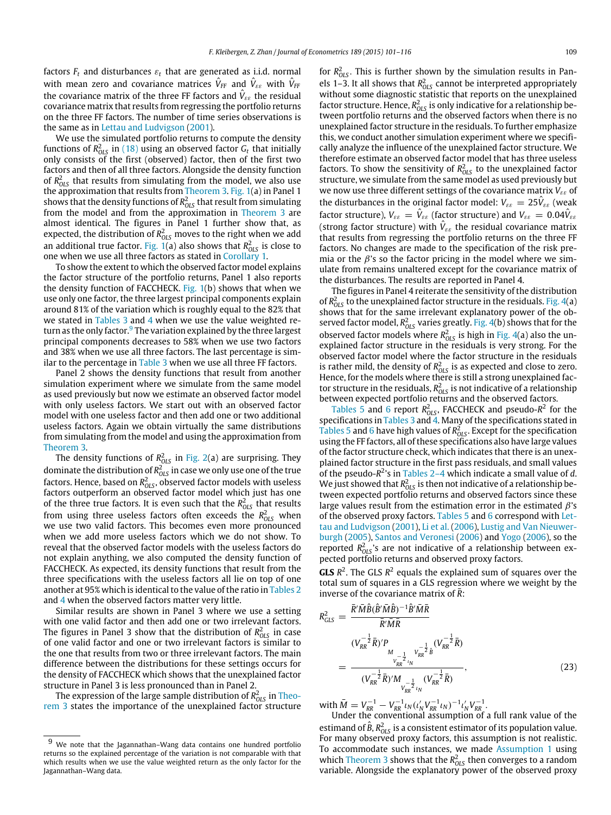factors  $F_t$  and disturbances  $\varepsilon_t$  that are generated as i.i.d. normal with mean zero and covariance matrices  $\hat{V}_{FF}$  and  $\hat{V}_{\varepsilon\varepsilon}$  with  $\hat{V}_{FF}$ the covariance matrix of the three FF factors and  $\hat{V}_{\varepsilon\varepsilon}$  the residual covariance matrix that results from regressing the portfolio returns on the three FF factors. The number of time series observations is the same as in [Lettau](#page-16-10) [and](#page-16-10) [Ludvigson](#page-16-10) [\(2001\)](#page-16-10).

We use the simulated portfolio returns to compute the density functions of  $R_{OLS}^2$  in [\(18\)](#page-7-2) using an observed factor  $G_t$  that initially only consists of the first (observed) factor, then of the first two factors and then of all three factors. Alongside the density function of  $R_{OLS}^2$  that results from simulating from the model, we also use the approximation that results from [Theorem 3.](#page-7-6) [Fig. 1\(](#page-10-0)a) in Panel 1 shows that the density functions of  $R^2_{OLS}$  that result from simulating from the model and from the approximation in [Theorem 3](#page-7-6) are almost identical. The figures in Panel 1 further show that, as expected, the distribution of  $R_{OLS}^2$  moves to the right when we add an additional true factor. [Fig. 1\(](#page-10-0)a) also shows that  $R^2_{OLS}$  is close to one when we use all three factors as stated in [Corollary 1.](#page-7-4)

To show the extent to which the observed factor model explains the factor structure of the portfolio returns, Panel 1 also reports the density function of FACCHECK. [Fig. 1\(](#page-10-0)b) shows that when we use only one factor, the three largest principal components explain around 81% of the variation which is roughly equal to the 82% that we stated in [Tables 3](#page-5-1) and [4](#page-6-0) when we use the value weighted re-turn as the only factor.<sup>[9](#page-9-0)</sup> The variation explained by the three largest principal components decreases to 58% when we use two factors and 38% when we use all three factors. The last percentage is similar to the percentage in [Table 3](#page-5-1) when we use all three FF factors.

Panel 2 shows the density functions that result from another simulation experiment where we simulate from the same model as used previously but now we estimate an observed factor model with only useless factors. We start out with an observed factor model with one useless factor and then add one or two additional useless factors. Again we obtain virtually the same distributions from simulating from the model and using the approximation from [Theorem 3.](#page-7-6)

The density functions of  $R_{OLS}^2$  in [Fig. 2\(](#page-10-1)a) are surprising. They dominate the distribution of  $R^2_{OLS}$  in case we only use one of the true factors. Hence, based on  $R_{\rm OLS}^2$ , observed factor models with useless factors outperform an observed factor model which just has one of the three true factors. It is even such that the  $R^2_{OLS}$  that results from using three useless factors often exceeds the  $R_{OLS}^2$  when we use two valid factors. This becomes even more pronounced when we add more useless factors which we do not show. To reveal that the observed factor models with the useless factors do not explain anything, we also computed the density function of FACCHECK. As expected, its density functions that result from the three specifications with the useless factors all lie on top of one another at 95% which is identical to the value of the ratio in [Tables 2](#page-5-0) and [4](#page-6-0) when the observed factors matter very little.

Similar results are shown in Panel 3 where we use a setting with one valid factor and then add one or two irrelevant factors. The figures in Panel 3 show that the distribution of  $R_{OLS}^2$  in case of one valid factor and one or two irrelevant factors is similar to the one that results from two or three irrelevant factors. The main difference between the distributions for these settings occurs for the density of FACCHECK which shows that the unexplained factor structure in Panel 3 is less pronounced than in Panel 2.

The expression of the large sample distribution of  $R^2_{OLS}$  in [Theo](#page-7-6)[rem 3](#page-7-6) states the importance of the unexplained factor structure

for  $R_{OLS}^2$ . This is further shown by the simulation results in Panels 1–3. It all shows that  $R_{OLS}^2$  cannot be interpreted appropriately without some diagnostic statistic that reports on the unexplained factor structure. Hence,  $R_{OLS}^2$  is only indicative for a relationship between portfolio returns and the observed factors when there is no unexplained factor structure in the residuals. To further emphasize this, we conduct another simulation experiment where we specifically analyze the influence of the unexplained factor structure. We therefore estimate an observed factor model that has three useless factors. To show the sensitivity of  $R_{OLS}^2$  to the unexplained factor structure, we simulate from the same model as used previously but we now use three different settings of the covariance matrix *V*εε of the disturbances in the original factor model:  $V_{\varepsilon\varepsilon} = 25 \hat{V}_{\varepsilon\varepsilon}$  (weak factor structure),  $V_{\varepsilon\varepsilon} = \hat{V}_{\varepsilon\varepsilon}$  (factor structure) and  $V_{\varepsilon\varepsilon} = 0.04 \hat{V}_{\varepsilon\varepsilon}$ (strong factor structure) with  $\hat{V}_{\varepsilon\varepsilon}$  the residual covariance matrix that results from regressing the portfolio returns on the three FF factors. No changes are made to the specification of the risk premia or the  $\beta$ 's so the factor pricing in the model where we simulate from remains unaltered except for the covariance matrix of the disturbances. The results are reported in Panel 4.

The figures in Panel 4 reiterate the sensitivity of the distribution of  $R_{OLS}^2$  to the unexplained factor structure in the residuals. [Fig. 4\(](#page-11-0)a) shows that for the same irrelevant explanatory power of the observed factor model,  $R_{OLS}^2$  varies greatly. Fig.  $4(b)$  shows that for the observed factor models where  $R_{OLS}^2$  is high in [Fig. 4\(](#page-11-0)a) also the unexplained factor structure in the residuals is very strong. For the observed factor model where the factor structure in the residuals is rather mild, the density of  $R_{OLS}^2$  is as expected and close to zero. Hence, for the models where there is still a strong unexplained factor structure in the residuals,  $R_{OLS}^2$  is not indicative of a relationship between expected portfolio returns and the observed factors.

[Tables 5](#page-11-1) and [6](#page-12-0) report  $R_{OLS}^2$ , FACCHECK and pseudo- $R^2$  for the specifications in [Tables 3](#page-5-1) and  $4$ . Many of the specifications stated in [Tables 5](#page-11-1) and [6](#page-12-0) have high values of  $R_{OLS}^2$ . Except for the specification using the FF factors, all of these specifications also have large values of the factor structure check, which indicates that there is an unexplained factor structure in the first pass residuals, and small values of the pseudo-*R* 2 's in [Tables 2–4](#page-5-0) which indicate a small value of *d*. We just showed that  $R_{OLS}^2$  is then not indicative of a relationship between expected portfolio returns and observed factors since these large values result from the estimation error in the estimated  $\beta$ 's [o](#page-16-10)f the observed proxy factors. [Tables 5](#page-11-1) and [6](#page-12-0) correspond with [Let](#page-16-10)[tau](#page-16-10) [and](#page-16-10) [Ludvigson](#page-16-10) [\(2001\)](#page-16-10), [Li](#page-16-12) [et al.](#page-16-12) [\(2006\)](#page-16-12), [Lustig](#page-16-11) [and](#page-16-11) [Van](#page-16-11) [Nieuwer](#page-16-11)[burgh](#page-16-11) [\(2005\)](#page-16-11), [Santos](#page-16-13) [and](#page-16-13) [Veronesi](#page-16-13) [\(2006\)](#page-16-13) and [Yogo](#page-16-31) [\(2006\)](#page-16-31), so the reported  $R_{OLS}^2$ 's are not indicative of a relationship between expected portfolio returns and observed proxy factors.

**GLS**  $R^2$ . The GLS  $R^2$  equals the explained sum of squares over the total sum of squares in a GLS regression where we weight by the inverse of the covariance matrix of *R*:

<span id="page-9-1"></span>
$$
R_{GLS}^{2} = \frac{\bar{R}'\bar{M}\hat{B}(\hat{B}'\bar{M}\hat{B})^{-1}\hat{B}'\bar{M}\bar{R}}{\bar{R}'\bar{M}\bar{R}}
$$
  

$$
= \frac{(V_{RR}^{-\frac{1}{2}}\bar{R})'P_{M_{CR}^{-\frac{1}{2}}V_{RR}^{-\frac{1}{2}}\hat{B}}(V_{RR}^{-\frac{1}{2}}\bar{R})}{(V_{RR}^{-\frac{1}{2}}\bar{R})'M_{V_{RR}^{-\frac{1}{2}}(V_{RR}^{-\frac{1}{2}}\bar{R})}},
$$
(23)

 $W$  ith  $\bar{M} = V_{RR}^{-1} - V_{RR}^{-1} \iota_N (\iota_N' V_{RR}^{-1} \iota_N)^{-1} \iota_N' V_{RR}^{-1}$ .

Under the conventional assumption of a full rank value of the estimand of  $\hat{B}$ ,  $R_{OLS}^2$  is a consistent estimator of its population value. For many observed proxy factors, this assumption is not realistic. To accommodate such instances, we made [Assumption 1](#page-6-5) using which [Theorem 3](#page-7-6) shows that the  $R_{OLS}^2$  then converges to a random variable. Alongside the explanatory power of the observed proxy

<span id="page-9-0"></span>We note that the Jagannathan–Wang data contains one hundred portfolio returns so the explained percentage of the variation is not comparable with that which results when we use the value weighted return as the only factor for the Jagannathan–Wang data.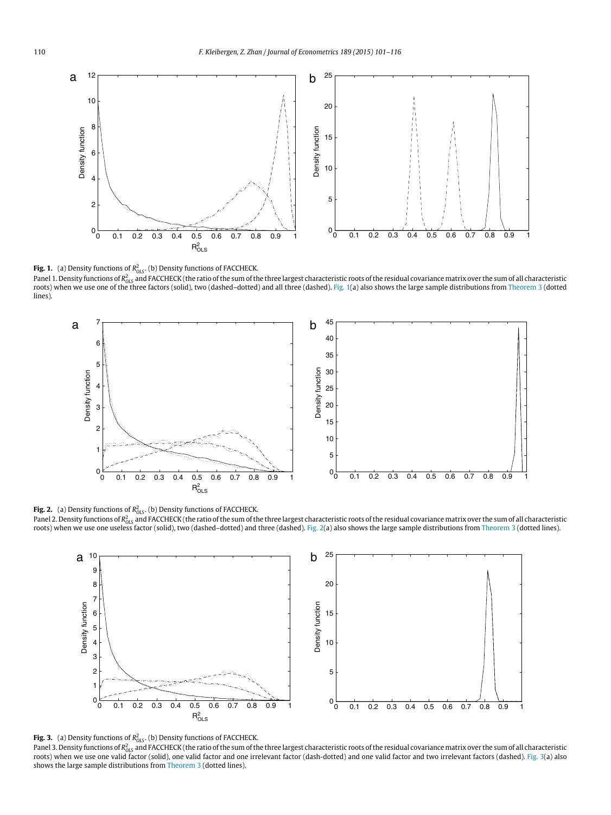<span id="page-10-0"></span>

**Fig. 1.** (a) Density functions of  $R^2_{OLS}$ . (b) Density functions of FACCHECK.

Panel 1. Density functions of R<sub>OLS</sub> and FACCHECK (the ratio of the sum of the three largest characteristic roots of the residual covariance matrix over the sum of all characteristic roots) when we use one of the three factors (solid), two (dashed–dotted) and all three (dashed). [Fig. 1\(](#page-10-0)a) also shows the large sample distributions from [Theorem 3](#page-7-6) (dotted lines).

<span id="page-10-1"></span>

**Fig. 2.** (a) Density functions of  $R^2_{OLS}$ . (b) Density functions of FACCHECK.

Panel 2. Density functions of R<sub>OLS</sub> and FACCHECK (the ratio of the sum of the three largest characteristic roots of the residual covariance matrix over the sum of all characteristic roots) when we use one useless factor (solid), two (dashed–dotted) and three (dashed). [Fig. 2\(](#page-10-1)a) also shows the large sample distributions from [Theorem 3](#page-7-6) (dotted lines).

<span id="page-10-2"></span>



**Fig. 3.** (a) Density functions of R<sub>ots</sub>. (b) Density functions of FACCHECK.<br>Panel 3. Density functions of R<sub>ots</sub> and FACCHECK (the ratio of the sum of the three largest characteristic roots of the residual covariance mat shows the large sample distributions from [Theorem 3](#page-7-6) (dotted lines).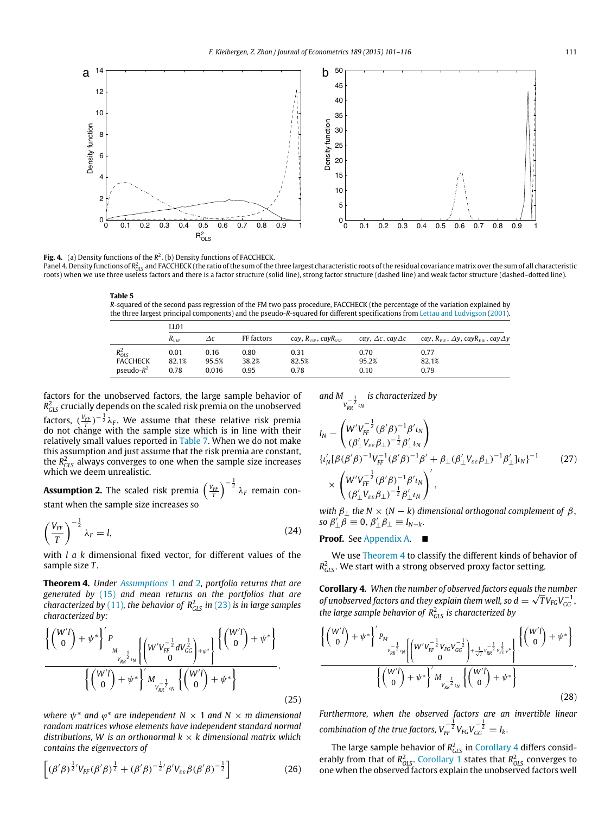<span id="page-11-0"></span>

**Fig. 4.** (a) Density functions of the  $R^2$ . (b) Density functions of FACCHECK. Panel 4. Density functions of R<sub>OLS</sub> and FACCHECK (the ratio of the sum of the three largest characteristic roots of the residual covariance matrix over the sum of all characteristic roots) when we use three useless factors and there is a factor structure (solid line), strong factor structure (dashed line) and weak factor structure (dashed-dotted line).

<span id="page-11-1"></span>**Table 5** *R*-squared of the second pass regression of the FM two pass procedure, FACCHECK (the percentage of the variation explained by the three largest principal components) and the pseudo-*R*-squared for different specifications from [Lettau](#page-16-10) [and](#page-16-10) [Ludvigson](#page-16-10) [\(2001\)](#page-16-10).

|                 | LL01     |            |            |                              |                                  |                                                            |  |  |  |  |
|-----------------|----------|------------|------------|------------------------------|----------------------------------|------------------------------------------------------------|--|--|--|--|
|                 | $R_{nm}$ | $\Delta c$ | FF factors | cay, $R_{vw}$ , cay $R_{vw}$ | cay, $\Delta c$ , cay $\Delta c$ | cay, $R_{vw}$ , $\Delta y$ , cay $R_{vw}$ , cay $\Delta y$ |  |  |  |  |
| $R_{OLS}^2$     | 0.01     | 0.16       | 0.80       | 0.31                         | 0.70                             | 0.77                                                       |  |  |  |  |
| <b>FACCHECK</b> | 82.1%    | 95.5%      | 38.2%      | 82.5%                        | 95.2%                            | 82.1%                                                      |  |  |  |  |
| $pseudo-R^2$    | 0.78     | 0.016      | 0.95       | 0.78                         | 0.10                             | 0.79                                                       |  |  |  |  |

factors for the unobserved factors, the large sample behavior of  $R^2_{\scriptscriptstyle ILS}$  crucially depends on the scaled risk premia on the unobserved

factors,  $(\frac{V_{FF}}{T})^{-\frac{1}{2}}\lambda_F$ . We assume that these relative risk premia do not change with the sample size which is in line with their relatively small values reported in [Table 7.](#page-12-1) When we do not make this assumption and just assume that the risk premia are constant, the *R* 2 *GLS* always converges to one when the sample size increases which we deem unrealistic.

<span id="page-11-2"></span>**Assumption 2.** The scaled risk premia  $\left(\frac{V_{FF}}{T}\right)^{-\frac{1}{2}}\lambda_F$  remain constant when the sample size increases so

$$
\left(\frac{V_{FF}}{T}\right)^{-\frac{1}{2}}\lambda_F = l,\tag{24}
$$

with *l a k* dimensional fixed vector, for different values of the sample size *T* .

<span id="page-11-3"></span>**Theorem 4.** *Under [Assumptions](#page-6-5)* 1 and [2](#page-11-2)*, portfolio returns that are generated by* [\(15\)](#page-6-3) *and mean returns on the portfolios that are characterized by* [\(11\)](#page-5-2)*, the behavior of R*<sup>2</sup> *GLS in* [\(23\)](#page-9-1) *is in large samples characterized by:*

$$
\frac{\left\{\begin{pmatrix}W'l\\0\end{pmatrix}+\psi^*\right\}'P_{W_{\frac{V-1}{2}l}}\left\{\begin{pmatrix}W'V_{FF}^{-\frac{1}{2}}dV_{GG}^{\frac{1}{2}}\\0\end{pmatrix}+\varphi^*\right\}\begin{pmatrix}\begin{pmatrix}W'l\\0\end{pmatrix}+\psi^*\end{pmatrix}}{\left\{\begin{pmatrix}W'l\\0\end{pmatrix}+\psi^*\right\}'M_{\frac{1}{V_{RR}}l_{2l}}\left\{\begin{pmatrix}W'l\\0\end{pmatrix}+\psi^*\right\}},
$$
\n(25)

where  $\psi^*$  and  $\varphi^*$  are independent N  $\times$  1 and N  $\times$  m dimensional *random matrices whose elements have independent standard normal distributions, W is an orthonormal k* × *k dimensional matrix which contains the eigenvectors of*

$$
\left[ (\beta'\beta)^{\frac{1}{2}}V_{FF}(\beta'\beta)^{\frac{1}{2}} + (\beta'\beta)^{-\frac{1}{2}}\beta'V_{\varepsilon\varepsilon}\beta(\beta'\beta)^{-\frac{1}{2}} \right]
$$
 (26)

and  $M_{\frac{1}{V_{RR}^{-\frac{1}{2}}l_{N}}}$ *is characterized by*

$$
I_{N} - \left( W'V_{FF}^{-\frac{1}{2}} (\beta'\beta)^{-1} \beta' \iota_{N} \right)
$$
  
\n
$$
\left\{ \iota_{N}' [\beta(\beta'\beta)^{-1} V_{FF}^{-1} (\beta'\beta)^{-1} \beta' + \beta_{\perp} (\beta'_{\perp} V_{\varepsilon\varepsilon} \beta_{\perp})^{-1} \beta'_{\perp} \iota_{N} \right\}
$$
  
\n
$$
\times \left( W'V_{FF}^{-\frac{1}{2}} (\beta'\beta)^{-1} \beta' \iota_{N} \right)' ,
$$
  
\n
$$
\times \left( \frac{W'V_{FF}^{-\frac{1}{2}} (\beta'\beta)^{-1} \beta' \iota_{N}}{(\beta'_{\perp} V_{\varepsilon\varepsilon} \beta_{\perp})^{-\frac{1}{2}} \beta'_{\perp} \iota_{N}} \right)',
$$
\n(27)

<span id="page-11-5"></span>*with*  $\beta_+$  *the*  $N \times (N - k)$  *dimensional orthogonal complement of*  $\beta$ *,*  $\mathfrak{so} \beta'_{\perp} \beta \equiv 0, \beta'_{\perp} \beta_{\perp} \equiv I_{N-k}.$ 

# **Proof.** See [Appendix A.](#page-14-0) ■

We use [Theorem 4](#page-11-3) to classify the different kinds of behavior of *R* 2 *GLS* . We start with a strong observed proxy factor setting.

<span id="page-11-4"></span>**Corollary 4.** *When the number of observed factors equals the number* √ *of unobserved factors and they explain them well, so*  $d = \sqrt{T}V_{FG}V_{GG}^{-1}$ *, the large sample behavior of*  $R_{GLS}^2$  *is characterized by* 

$$
\frac{\left\{\binom{W'l}{0} + \psi^*\right\}' P_{M_{V_{RR}^{-\frac{1}{2}}l_{N}}\left[\binom{W'V_{FF}^{-\frac{1}{2}}V_{FG}V_{GG}^{-\frac{1}{2}}}{0} + \frac{1}{\sqrt{T}}\frac{V_{RR}^{-\frac{1}{2}}V_{gg}^{-\frac{1}{2}}V_{gg}^{+}}{\sqrt{T}}\right\}\left\{\binom{W'l}{0} + \psi^*\right\}}{\left\{\binom{W'l}{0} + \psi^*\right\}' M_{V_{RR}^{-\frac{1}{2}}l_{N}}\left\{\binom{W'l}{0} + \psi^*\right\}}.
$$
\n(28)

*Furthermore, when the observed factors are an invertible linear*  $\epsilon$  *combination of the true factors,*  $V_{FF}^{-\frac{1}{2}}V_{FG}V_{GG}^{-\frac{1}{2}}=I_k$ *.* 

The large sample behavior of  $R_{GLS}^2$  in [Corollary 4](#page-11-4) differs considerably from that of  $R_{OLS}^2$ . [Corollary 1](#page-7-4) states that  $R_{OLS}^2$  converges to one when the observed factors explain the unobserved factors well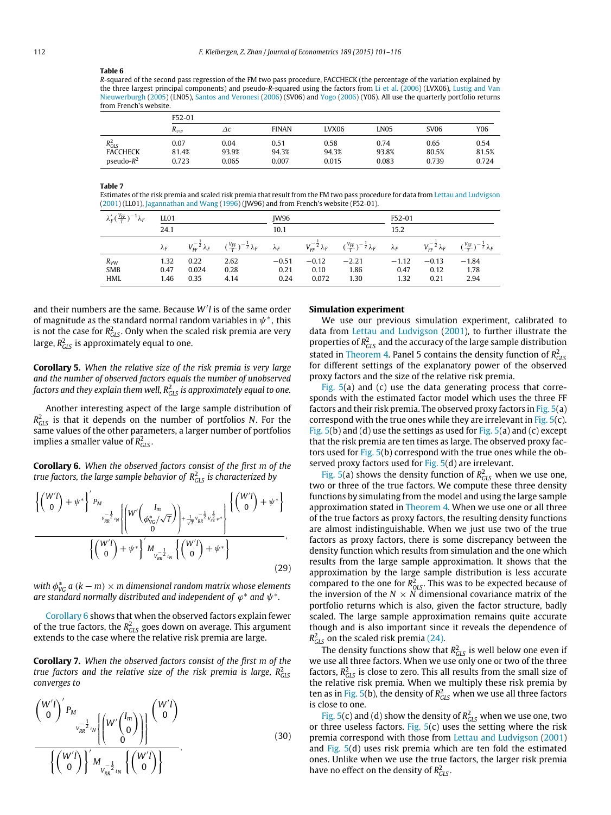## <span id="page-12-0"></span>**Table 6**

*R*-squared of the second pass regression of the FM two pass procedure, FACCHECK (the percentage of the variation explained by the three largest principal components) and pseudo-*R*-squared using the factors from [Li](#page-16-12) [et al.](#page-16-12) [\(2006\)](#page-16-12) (LVX06), [Lustig](#page-16-11) [and](#page-16-11) [Van](#page-16-11) [Nieuwerburgh](#page-16-11) [\(2005\)](#page-16-11) (LN05), [Santos](#page-16-13) [and](#page-16-13) [Veronesi](#page-16-13) [\(2006\)](#page-16-13) (SV06) and [Yogo](#page-16-31) [\(2006\)](#page-16-31) (Y06). All use the quarterly portfolio returns from French's website.

|                 | F52-01   |       |              |       |       |             |       |  |  |  |
|-----------------|----------|-------|--------------|-------|-------|-------------|-------|--|--|--|
|                 | $R_{vw}$ | Δc    | <b>FINAN</b> | LVX06 | LN05  | <b>SV06</b> | Y06   |  |  |  |
| $R_{OLS}^2$     | 0.07     | 0.04  | 0.51         | 0.58  | 0.74  | 0.65        | 0.54  |  |  |  |
| <b>FACCHECK</b> | 81.4%    | 93.9% | 94.3%        | 94.3% | 93.8% | 80.5%       | 81.5% |  |  |  |
| $pseudo-R^2$    | 0.723    | 0.065 | 0.007        | 0.015 | 0.083 | 0.739       | 0.724 |  |  |  |

### <span id="page-12-1"></span>**Table 7**

Estimates of the risk premia and scaled risk premia that result from the FM two pass procedure for data from [Lettau](#page-16-10) [and](#page-16-10) [Ludvigson](#page-16-10) [\(2001\)](#page-16-10) (LL01), [Jagannathan](#page-16-8) [and](#page-16-8) [Wang](#page-16-8) [\(1996\)](#page-16-8) (JW96) and from French's website (F52-01).

| $\lambda_F'(\frac{V_{FF}}{\tau})^{-1}\lambda_F$ | LL01                 |                                  |                                                 | IW96                    |                                  |                                                 |                         | F52-01                           |                                              |  |
|-------------------------------------------------|----------------------|----------------------------------|-------------------------------------------------|-------------------------|----------------------------------|-------------------------------------------------|-------------------------|----------------------------------|----------------------------------------------|--|
|                                                 | 24.1                 |                                  |                                                 | 10.1                    |                                  |                                                 | 15.2                    |                                  |                                              |  |
|                                                 | $\lambda_F$          | $V_{FF}^{-\frac{1}{2}}\lambda_F$ | $(\frac{V_{FF}}{\tau})^{-\frac{1}{2}}\lambda_F$ | $\lambda_F$             | $V_{FF}^{-\frac{1}{2}}\lambda_F$ | $(\frac{V_{FF}}{\tau})^{-\frac{1}{2}}\lambda_F$ | $\lambda_F$             | $V_{FF}^{-\frac{1}{2}}\lambda_F$ | $(\frac{V_{FF}}{T})^{-\frac{1}{2}}\lambda_F$ |  |
| $R_{VW}$<br><b>SMB</b><br><b>HML</b>            | 1.32<br>0.47<br>1.46 | 0.22<br>0.024<br>0.35            | 2.62<br>0.28<br>4.14                            | $-0.51$<br>0.21<br>0.24 | $-0.12$<br>0.10<br>0.072         | $-2.21$<br>1.86<br>1.30                         | $-1.12$<br>0.47<br>1.32 | $-0.13$<br>0.12<br>0.21          | $-1.84$<br>1.78<br>2.94                      |  |

and their numbers are the same. Because *W*′ *l* is of the same order of magnitude as the standard normal random variables in  $\psi^*,$  this is not the case for  $R^2_{\rm GLS}$ . Only when the scaled risk premia are very large,  $R^2_{GLS}$  is approximately equal to one.

**Corollary 5.** *When the relative size of the risk premia is very large and the number of observed factors equals the number of unobserved* factors and they explain them well,  $R^2_{\rm GLS}$  is approximately equal to one.

Another interesting aspect of the large sample distribution of *R* 2 *GLS* is that it depends on the number of portfolios *N*. For the same values of the other parameters, a larger number of portfolios implies a smaller value of *R* 2 *GLS* .

<span id="page-12-2"></span>**Corollary 6.** *When the observed factors consist of the first m of the true factors, the large sample behavior of R*<sup>2</sup> *GLS is characterized by*

$$
\frac{\left\{ \begin{pmatrix} W' \\ 0 \end{pmatrix} + \psi^* \right\}' P_M}{\sqrt{r_R^2} \sqrt{r_R} \sqrt{r_R} \sqrt{r_R} \sqrt{r_R} \sqrt{r_R} \sqrt{r_R} \sqrt{r_R} \sqrt{r_R} \sqrt{r_R} \sqrt{r_R} \sqrt{r_R} \sqrt{r_R} \sqrt{r_R} \sqrt{r_R} \sqrt{r_R} \sqrt{r_R} \sqrt{r_R} \sqrt{r_R} \sqrt{r_R} \sqrt{r_R} \sqrt{r_R} \sqrt{r_R} \sqrt{r_R} \sqrt{r_R} \sqrt{r_R} \sqrt{r_R} \sqrt{r_R} \sqrt{r_R} \sqrt{r_R} \sqrt{r_R} \sqrt{r_R} \sqrt{r_R} \sqrt{r_R} \sqrt{r_R} \sqrt{r_R} \sqrt{r_R} \sqrt{r_R} \sqrt{r_R} \sqrt{r_R} \sqrt{r_R} \sqrt{r_R} \sqrt{r_R} \sqrt{r_R} \sqrt{r_R} \sqrt{r_R} \sqrt{r_R} \sqrt{r_R} \sqrt{r_R} \sqrt{r_R} \sqrt{r_R} \sqrt{r_R} \sqrt{r_R} \sqrt{r_R} \sqrt{r_R} \sqrt{r_R} \sqrt{r_R} \sqrt{r_R} \sqrt{r_R} \sqrt{r_R} \sqrt{r_R} \sqrt{r_R} \sqrt{r_R} \sqrt{r_R} \sqrt{r_R} \sqrt{r_R} \sqrt{r_R} \sqrt{r_R} \sqrt{r_R} \sqrt{r_R} \sqrt{r_R} \sqrt{r_R} \sqrt{r_R} \sqrt{r_R} \sqrt{r_R} \sqrt{r_R} \sqrt{r_R} \sqrt{r_R} \sqrt{r_R} \sqrt{r_R} \sqrt{r_R} \sqrt{r_R} \sqrt{r_R} \sqrt{r_R} \sqrt{r_R} \sqrt{r_R} \sqrt{r_R} \sqrt{r_R} \sqrt{r_R} \sqrt{r_R} \sqrt{r_R} \sqrt{r_R} \sqrt{r_R} \sqrt{r_R} \sqrt{r_R} \sqrt{r_R} \sqrt{r_R} \sqrt{r_R} \sqrt{r_R} \sqrt{r_R} \sqrt{r_R} \sqrt{r_R} \sqrt{r_R} \sqrt{r_R} \sqrt{r_R} \sqrt{r_R} \sqrt{r_R} \sqrt{r_R} \sqrt{r_R} \sqrt{r_R} \sqrt{r_R} \sqrt{r_R} \sqrt{r_R} \sqrt{r_R} \sqrt{r_R} \sqrt{r_R} \sqrt{r_R} \sqrt{r_R} \sqrt{r_R} \sqrt{r_R} \sqrt{
$$

with  $\phi_{\text{VC}}^{*}$  a  $(k-m)\times m$  dimensional random matrix whose elements are standard normally distributed and independent of  $\varphi^*$  and  $\psi^*.$ 

[Corollary 6](#page-12-2) shows that when the observed factors explain fewer of the true factors, the  $R^2_{\scriptscriptstyle{GLS}}$  goes down on average. This argument extends to the case where the relative risk premia are large.

**Corollary 7.** *When the observed factors consist of the first m of the true factors and the relative size of the risk premia is large,*  $R^2_{\rm GLS}$ *converges to*

$$
\frac{\binom{W'l}{0}^{\prime} P_M}{\frac{V_{RR}^{-\frac{1}{2}}l_N}{\left(\binom{W'l}{0}\right)} \cdot \binom{W/l}{0}} \cdot \frac{\binom{W'l}{0}}{\left(\binom{W'l}{0}\right)^{\prime} M_{\frac{1}{V_{RR}^{-\frac{1}{2}}l_N}} \left(\binom{W'l}{0}\right)} \cdot \tag{30}
$$

# **Simulation experiment**

We use our previous simulation experiment, calibrated to data from [Lettau](#page-16-10) [and](#page-16-10) [Ludvigson](#page-16-10) [\(2001\)](#page-16-10), to further illustrate the properties of  $R_{GLS}^2$  and the accuracy of the large sample distribution stated in [Theorem 4.](#page-11-3) Panel 5 contains the density function of  $R<sub>GLS</sub>$ for different settings of the explanatory power of the observed proxy factors and the size of the relative risk premia.

Fig.  $5(a)$  and (c) use the data generating process that corresponds with the estimated factor model which uses the three FF factors and their risk premia. The observed proxy factors in Fig.  $5(a)$ correspond with the true ones while they are irrelevant in Fig.  $5(c)$ . Fig.  $5(b)$  and (d) use the settings as used for Fig.  $5(a)$  and (c) except that the risk premia are ten times as large. The observed proxy factors used for [Fig. 5\(](#page-13-0)b) correspond with the true ones while the ob-served proxy factors used for [Fig. 5\(](#page-13-0)d) are irrelevant.

[Fig. 5\(](#page-13-0)a) shows the density function of  $R_{\text{GLS}}^2$  when we use one, two or three of the true factors. We compute these three density functions by simulating from the model and using the large sample approximation stated in [Theorem 4.](#page-11-3) When we use one or all three of the true factors as proxy factors, the resulting density functions are almost indistinguishable. When we just use two of the true factors as proxy factors, there is some discrepancy between the density function which results from simulation and the one which results from the large sample approximation. It shows that the approximation by the large sample distribution is less accurate compared to the one for  $R_{OLS}^2$ . This was to be expected because of the inversion of the  $N \times N$  dimensional covariance matrix of the portfolio returns which is also, given the factor structure, badly scaled. The large sample approximation remains quite accurate though and is also important since it reveals the dependence of  $R<sub>GLS</sub><sup>2</sup>$  on the scaled risk premia [\(24\).](#page-11-5)

The density functions show that  $R_{GLS}^2$  is well below one even if we use all three factors. When we use only one or two of the three factors,  $R_{\text{CLS}}^2$  is close to zero. This all results from the small size of the relative risk premia. When we multiply these risk premia by ten as in [Fig. 5\(](#page-13-0)b), the density of  $R_{GLS}^2$  when we use all three factors is close to one.

[Fig. 5\(](#page-13-0)c) and (d) show the density of  $R_{GLS}^2$  when we use one, two or three useless factors. Fig.  $5(c)$  uses the setting where the risk premia correspond with those from [Lettau](#page-16-10) [and](#page-16-10) [Ludvigson](#page-16-10) [\(2001\)](#page-16-10) and [Fig. 5\(](#page-13-0)d) uses risk premia which are ten fold the estimated ones. Unlike when we use the true factors, the larger risk premia have no effect on the density of  $R<sup>2</sup><sub>GLS</sub>$ .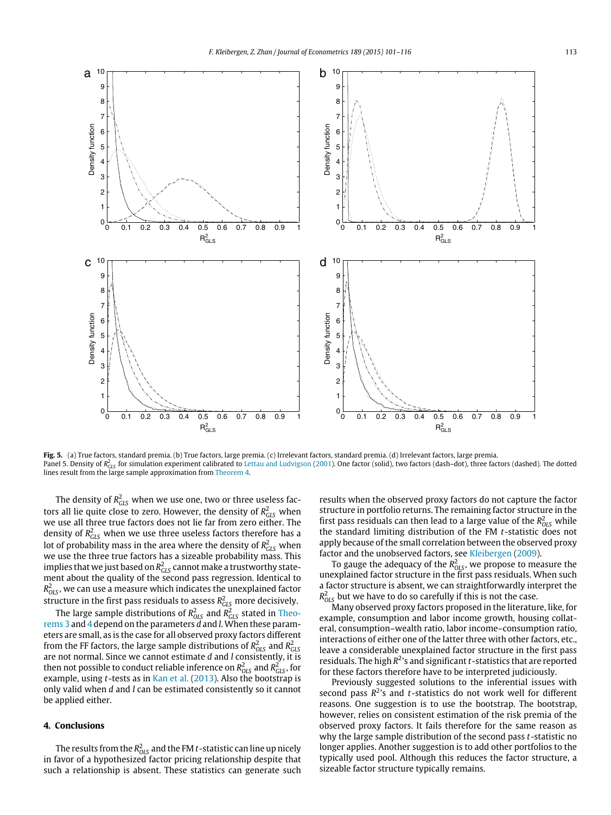<span id="page-13-0"></span>

**Fig. 5.** (a) True factors, standard premia. (b) True factors, large premia. (c) Irrelevant factors, standard premia. (d) Irrelevant factors, large premia. Panel 5. Density of R<sub>GLS</sub> for simulation experiment calibrated to [Lettau](#page-16-10) [and](#page-16-10) [Ludvigson](#page-16-10) [\(2001\)](#page-16-10). One factor (solid), two factors (dash–dot), three factors (dashed). The dotted lines result from the large sample approximation from [Theorem 4.](#page-11-3)

The density of  $R^2_{\text{GLS}}$  when we use one, two or three useless factors all lie quite close to zero. However, the density of  $R^2_{\rm GLS}$  when we use all three true factors does not lie far from zero either. The density of  $R^2_{\rm GLS}$  when we use three useless factors therefore has a lot of probability mass in the area where the density of  $R^2_{\rm GLS}$  when we use the three true factors has a sizeable probability mass. This implies that we just based on  $R^2_{\rm GLS}$  cannot make a trustworthy statement about the quality of the second pass regression. Identical to  $R^2_{\rm OLS}$ , we can use a measure which indicates the unexplained factor structure in the first pass residuals to assess  $R^2_{GLS}$  more decisively.

The large sample distributions of  $R_{OLS}^2$  and  $R_{CLS}^2$  stated in [Theo](#page-7-6)[rems 3](#page-7-6) and [4](#page-11-3) depend on the parameters *d* and *l*. When these parameters are small, as is the case for all observed proxy factors different from the FF factors, the large sample distributions of  $R_{OLS}^2$  and  $R_{CLS}^2$ are not normal. Since we cannot estimate *d* and *l* consistently, it is then not possible to conduct reliable inference on  $R^2_{OLS}$  and  $R^2_{GLS}$ , for example, using *t*-tests as in [Kan](#page-16-37) [et al.](#page-16-37) [\(2013\)](#page-16-37). Also the bootstrap is only valid when *d* and *l* can be estimated consistently so it cannot be applied either.

## **4. Conclusions**

The results from the  $R^2_{OLS}$  and the FM  $t$  -statistic can line up nicely in favor of a hypothesized factor pricing relationship despite that such a relationship is absent. These statistics can generate such results when the observed proxy factors do not capture the factor structure in portfolio returns. The remaining factor structure in the first pass residuals can then lead to a large value of the  $R_{OLS}^2$  while the standard limiting distribution of the FM *t*-statistic does not apply because of the small correlation between the observed proxy factor and the unobserved factors, see [Kleibergen](#page-16-15) [\(2009\)](#page-16-15).

To gauge the adequacy of the  $R^2_{OLS}$ , we propose to measure the unexplained factor structure in the first pass residuals. When such a factor structure is absent, we can straightforwardly interpret the  $R_{OLS}^2$  but we have to do so carefully if this is not the case.

Many observed proxy factors proposed in the literature, like, for example, consumption and labor income growth, housing collateral, consumption–wealth ratio, labor income–consumption ratio, interactions of either one of the latter three with other factors, etc., leave a considerable unexplained factor structure in the first pass residuals. The high  $R^2$ 's and significant *t*-statistics that are reported for these factors therefore have to be interpreted judiciously.

Previously suggested solutions to the inferential issues with second pass  $R^2$ 's and *t*-statistics do not work well for different reasons. One suggestion is to use the bootstrap. The bootstrap, however, relies on consistent estimation of the risk premia of the observed proxy factors. It fails therefore for the same reason as why the large sample distribution of the second pass *t*-statistic no longer applies. Another suggestion is to add other portfolios to the typically used pool. Although this reduces the factor structure, a sizeable factor structure typically remains.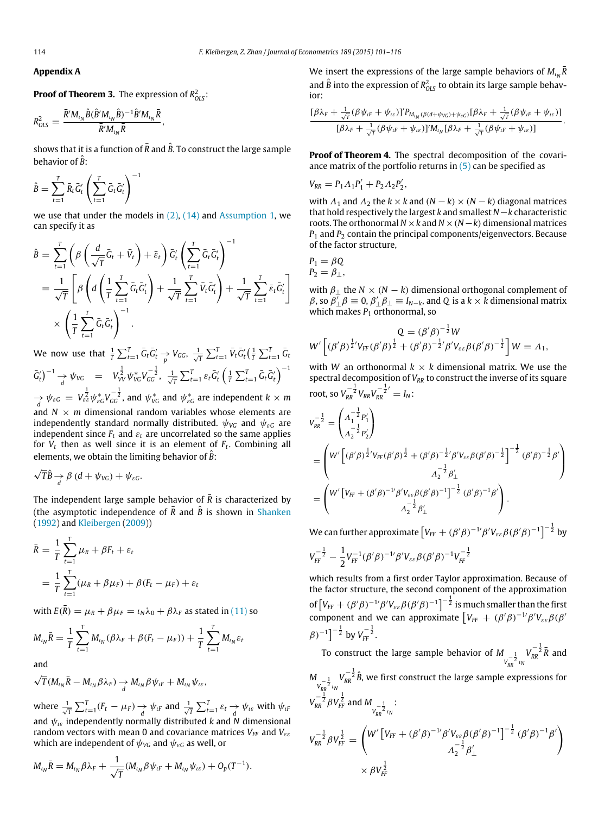<span id="page-14-0"></span>**Appendix A**

**Proof of Theorem 3.** The expression of  $R^2_{OLS}$ : *B*ˆ)

$$
R_{OLS}^2 = \frac{\overline{R}'M_{\iota_N}\hat{B}(\hat{B}'M_{\iota_N}\hat{B})^{-1}\hat{B}'M_{\iota_N}\overline{R}}{\overline{R}'M_{\iota_N}\overline{R}},
$$

shows that it is a function of  $\bar{R}$  and  $\hat{B}$ . To construct the large sample behavior of *<sup>B</sup>*ˆ:

$$
\hat{B} = \sum_{t=1}^{T} \bar{R}_t \bar{G}'_t \left( \sum_{t=1}^{T} \bar{G}_t \bar{G}'_t \right)^{-1}
$$

we use that under the models in  $(2)$ ,  $(14)$  and [Assumption 1,](#page-6-5) we can specify it as

$$
\hat{B} = \sum_{t=1}^{T} \left( \beta \left( \frac{d}{\sqrt{T}} \bar{G}_t + \bar{V}_t \right) + \bar{\varepsilon}_t \right) \bar{G}'_t \left( \sum_{t=1}^{T} \bar{G}_t \bar{G}'_t \right)^{-1} \n= \frac{1}{\sqrt{T}} \left[ \beta \left( d \left( \frac{1}{T} \sum_{t=1}^{T} \bar{G}_t \bar{G}'_t \right) + \frac{1}{\sqrt{T}} \sum_{t=1}^{T} \bar{V}_t \bar{G}'_t \right) + \frac{1}{\sqrt{T}} \sum_{t=1}^{T} \bar{\varepsilon}_t \bar{G}'_t \right] \n\times \left( \frac{1}{T} \sum_{t=1}^{T} \bar{G}_t \bar{G}'_t \right)^{-1}.
$$

We now use that  $\frac{1}{T} \sum_{t=1}^{T} \bar{G}_t \bar{G}'_t \rightarrow V_{GG}, \frac{1}{\sqrt{T}} \sum_{t=1}^{T} \bar{V}_t \bar{G}'_t (\frac{1}{T} \sum_{t=1}^{T} \bar{G}_t$  $\bar{G}'_t \big)^{-1} \rightarrow \psi_{VG} = V_W^{\frac{1}{2}} \psi_{VG}^* V_{GG}^{-\frac{1}{2}}, \ \frac{1}{\sqrt{T}} \sum_{t=1}^T \varepsilon_t \bar{G}'_t \left( \frac{1}{T} \sum_{t=1}^T \bar{G}_t \bar{G}'_t \right)^{-1}$  $\frac{1}{\sqrt{2}}\psi_{\varepsilon G}^*V_{\varepsilon G}^{-1}V_{GG}^{-\frac{1}{2}}$ , and  $\psi_{\varepsilon G}^*$  and  $\psi_{\varepsilon G}^*$  are independent  $k\times m$ 

*d* and *N* × *m* dimensional random variables whose elements are independently standard normally distributed.  $\psi_{\nu G}$  and  $\psi_{\varepsilon G}$  are independent since  $F_t$  and  $\varepsilon_t$  are uncorrelated so the same applies for *V<sup>t</sup>* then as well since it is an element of *F<sup>t</sup>* . Combining all elements, we obtain the limiting behavior of  $\hat{B}$ :

$$
\sqrt{T}\hat{B} \rightarrow \beta (d + \psi_{VG}) + \psi_{\varepsilon G}.
$$

The independent large sample behavior of  $\overline{R}$  is characterized by (the asymptotic independence of  $\overline{R}$  and  $\hat{B}$  is shown in [Shanken](#page-16-2) [\(1992\)](#page-16-2) and [Kleibergen](#page-16-15) [\(2009\)](#page-16-15))

$$
\bar{R} = \frac{1}{T} \sum_{t=1}^{T} \mu_R + \beta F_t + \varepsilon_t
$$
  
= 
$$
\frac{1}{T} \sum_{t=1}^{T} (\mu_R + \beta \mu_F) + \beta (F_t - \mu_F) + \varepsilon_t
$$

with  $E(\bar{R}) = \mu_R + \beta \mu_F = \iota_N \lambda_0 + \beta \lambda_F$  as stated in [\(11\)](#page-5-2) so

$$
M_{\iota_N}\bar{R} = \frac{1}{T}\sum_{t=1}^T M_{\iota_N}(\beta \lambda_F + \beta(F_t - \mu_F)) + \frac{1}{T}\sum_{t=1}^T M_{\iota_N} \varepsilon_t
$$

and

$$
\sqrt{T}(M_{\iota_N}\bar{R}-M_{\iota_N}\beta\lambda_F)\underset{d}{\rightarrow}M_{\iota_N}\beta\psi_{\iota F}+M_{\iota_N}\psi_{\iota\epsilon},
$$

where  $\frac{1}{\sqrt{T}} \sum_{t=1}^{T} (F_t - \mu_F) \rightarrow \psi_{tF}$  and  $\frac{1}{\sqrt{T}} \sum_{t=1}^{T} \varepsilon_t \rightarrow \psi_{t\varepsilon}$  with  $\psi_{tF}$ and  $\psi_{i\epsilon}$  independently normally distributed *k* and N dimensional random vectors with mean 0 and covariance matrices *VFF* and *V*εε which are independent of  $\psi_{\text{VG}}$  and  $\psi_{\text{EG}}$  as well, or

$$
M_{\iota_N} \bar{R} = M_{\iota_N} \beta \lambda_F + \frac{1}{\sqrt{T}} (M_{\iota_N} \beta \psi_{\iota F} + M_{\iota_N} \psi_{\iota \varepsilon}) + O_p(T^{-1}).
$$

We insert the expressions of the large sample behaviors of  $M_{\iota_N}\bar{R}$ and  $\hat{B}$  into the expression of  $R_{OLS}^2$  to obtain its large sample behavior:

$$
\frac{[\beta\lambda_F + \frac{1}{\sqrt{T}}(\beta\psi_{iF} + \psi_{i\epsilon})]^{'P_{M_{i_N}(\beta(d+\psi_{VG}) + \psi_{\epsilon G})}[\beta\lambda_F + \frac{1}{\sqrt{T}}(\beta\psi_{iF} + \psi_{i\epsilon})]}{[\beta\lambda_F + \frac{1}{\sqrt{T}}(\beta\psi_{iF} + \psi_{i\epsilon})]^{'M_{i_N}[\beta\lambda_F + \frac{1}{\sqrt{T}}(\beta\psi_{iF} + \psi_{i\epsilon})]}.
$$

**Proof of Theorem 4.** The spectral decomposition of the covariance matrix of the portfolio returns in  $(5)$  can be specified as

$$
V_{RR} = P_1 \Lambda_1 P_1' + P_2 \Lambda_2 P_2',
$$

with  $\Lambda_1$  and  $\Lambda_2$  the  $k \times k$  and  $(N - k) \times (N - k)$  diagonal matrices that hold respectively the largest *k* and smallest *N*−*k* characteristic roots. The orthonormal  $N \times k$  and  $N \times (N - k)$  dimensional matrices  $P_1$  and  $P_2$  contain the principal components/eigenvectors. Because of the factor structure,

$$
P_1 = \beta Q
$$
  

$$
P_2 = \beta_{\perp},
$$

with  $\beta_{\perp}$  the  $N \times (N - k)$  dimensional orthogonal complement of  $\beta$ , so  $\beta'_{\perp}\beta \equiv 0$ ,  $\beta'_{\perp}\beta_{\perp} \equiv I_{N-k}$ , and Q is a  $k \times k$  dimensional matrix which makes  $P_1$  orthonormal, so

$$
Q = (\beta'\beta)^{-\frac{1}{2}}W
$$
  
W'  $\left[ (\beta'\beta)^{\frac{1}{2}}V_{FF}(\beta'\beta)^{\frac{1}{2}} + (\beta'\beta)^{-\frac{1}{2}}'\beta'V_{\varepsilon\varepsilon}\beta(\beta'\beta)^{-\frac{1}{2}} \right]W = \Lambda_1,$ 

with *W* an orthonormal  $k \times k$  dimensional matrix. We use the spectral decomposition of  $V_{RR}$  to construct the inverse of its square root, so  $V_{RR}^{-\frac{1}{2}}V_{RR}V_{RR}^{-\frac{1}{2}'} = I_N$ :

$$
V_{RR}^{-\frac{1}{2}} = \begin{pmatrix} \Lambda_1^{-\frac{1}{2}} P_1' \\ \Lambda_2^{-\frac{1}{2}} P_2' \end{pmatrix}
$$
  
= 
$$
\begin{pmatrix} W' \left[ (\beta' \beta)^{\frac{1}{2}} V_{FF} (\beta' \beta)^{\frac{1}{2}} + (\beta' \beta)^{-\frac{1}{2}} \beta' V_{\varepsilon\varepsilon} \beta (\beta' \beta)^{-\frac{1}{2}} \right]^{-\frac{1}{2}} (\beta' \beta)^{-\frac{1}{2}} \beta' \\ \Lambda_2^{-\frac{1}{2}} \beta'_{\perp} \\ = \begin{pmatrix} W' \left[ V_{FF} + (\beta' \beta)^{-1} \beta' V_{\varepsilon\varepsilon} \beta (\beta' \beta)^{-1} \right]^{-\frac{1}{2}} (\beta' \beta)^{-1} \beta' \\ \Lambda_2^{-\frac{1}{2}} \beta'_{\perp} \end{pmatrix} . \end{pmatrix}
$$

We can further approximate  $\left[V_{F\!F}+(\beta'\beta)^{-1'}\beta'V_{\varepsilon\varepsilon}\beta(\beta'\beta)^{-1}\right]^{-\frac{1}{2}}$  by

$$
V_{FF}^{-\frac{1}{2}} - \frac{1}{2} V_{FF}^{-1} (\beta' \beta)^{-1'} \beta' V_{\varepsilon \varepsilon} \beta (\beta' \beta)^{-1} V_{FF}^{-\frac{1}{2}}
$$

which results from a first order Taylor approximation. Because of the factor structure, the second component of the approximation of  $\left[V_{FF}+(\beta'\beta)^{-1'}\beta'V_{\varepsilon\varepsilon}\beta(\beta'\beta)^{-1}\right]^{-\frac{1}{2}}$  is much smaller than the first component and we can approximate  $\left[ V_{FF} + (\beta' \beta)^{-1} \beta' V_{\varepsilon \varepsilon} \beta(\beta' \beta') \right]$  $(\beta)^{-1}$ ]<sup>- $\frac{1}{2}$ </sup> by  $V_{FF}^{-\frac{1}{2}}$ .

To construct the large sample behavior of  $M_{\stackrel{-\frac{1}{2}}{\nu_{RR}^2} \iota_N}$  $V_{RR}^{-\frac{1}{2}}\overline{R}$  and

 $M_{V_{RR}^{-\frac{1}{2}}l_{N}}$  $V_{RR}^{-\frac{1}{2}}\hat{B}$ , we first construct the large sample expressions for  $V_{RR}^{-\frac{1}{2}} \beta V_{FF}^{\frac{1}{2}}$  and  $M_{V_{RR}^{-\frac{1}{2}} l_N}$ :

$$
V_{RR}^{-\frac{1}{2}} \beta V_{FF}^{\frac{1}{2}} = \left( W' \left[ V_{FF} + (\beta' \beta)^{-1} \beta' V_{\varepsilon \varepsilon} \beta (\beta' \beta)^{-1} \right]^{-\frac{1}{2}} (\beta' \beta)^{-1} \beta' \right) \times \beta V_{FF}^{\frac{1}{2}} \qquad (8)
$$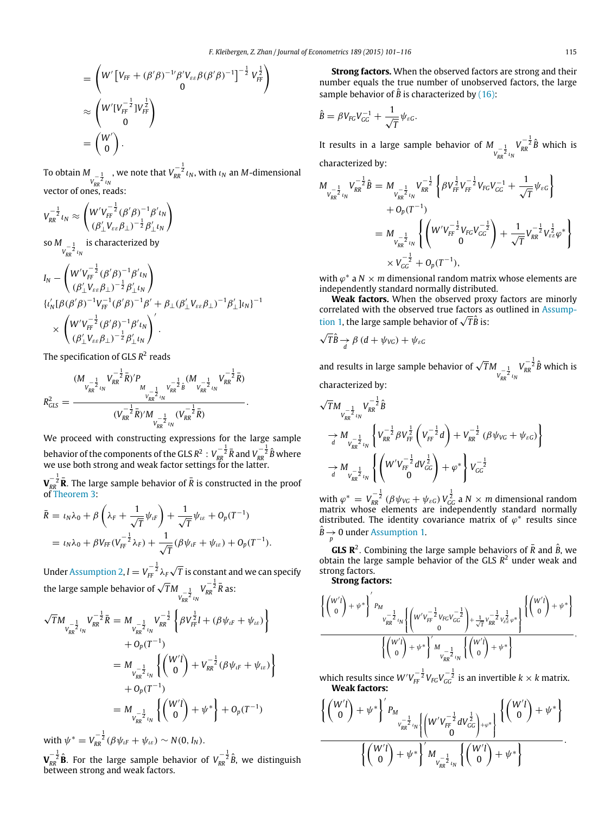$$
= \left(W'\left[V_{FF} + (\beta'\beta)^{-1'}\beta'V_{\varepsilon\varepsilon}\beta(\beta'\beta)^{-1}\right]^{-\frac{1}{2}}V_{FF}^{\frac{1}{2}}\right)
$$
  

$$
\approx \left(W'\left[V_{FF}^{-\frac{1}{2}}\right]V_{FF}^{\frac{1}{2}}\right)
$$
  

$$
= \left(\begin{array}{c} W'\\0\end{array}\right).
$$

**To obtain** *M*<sub>*v*<sub>*R*</sub><sup>1</sup><sub>*ν*<sub>*NR*</sub><sup>2</sup><sub>*ιN*</sub></sup></sub></sub> , we note that  $V_{RR}^{-\frac{1}{2}}\iota_{N}$ , with  $\iota_{N}$  an  $M$ -dimensional vector of ones, reads:

$$
V_{RR}^{-\frac{1}{2}}\iota_N \approx \begin{pmatrix} W'V_{FF}^{-\frac{1}{2}}(\beta'\beta)^{-1}\beta'\iota_N\\ (\beta'_\perp V_{\varepsilon\varepsilon}\beta_\perp)^{-\frac{1}{2}}\beta'_\perp \iota_N \end{pmatrix}
$$

 $\frac{1}{V_{RR}^{-\frac{1}{2}}}\frac{1}{\nu_N}$ is characterized by

$$
I_N = \begin{pmatrix} W'V_{FF}^{-\frac{1}{2}}(\beta'\beta)^{-1}\beta' \iota_N \\ (\beta'_{\perp}V_{\varepsilon\varepsilon}\beta_{\perp})^{-\frac{1}{2}}\beta'_{\perp}\iota_N \end{pmatrix}
$$
  

$$
\begin{cases} \iota'_N[\beta(\beta'\beta)^{-1}V_{FF}^{-1}(\beta'\beta)^{-1}\beta' + \beta_{\perp}(\beta'_{\perp}V_{\varepsilon\varepsilon}\beta_{\perp})^{-1}\beta'_{\perp}\iota_N]^{-1} \\ \times \begin{pmatrix} W'V_{FF}^{-\frac{1}{2}}(\beta'\beta)^{-1}\beta' \iota_N \\ (\beta'_{\perp}V_{\varepsilon\varepsilon}\beta_{\perp})^{-\frac{1}{2}}\beta'_{\perp}\iota_N \end{pmatrix}. \end{cases}
$$

The specification of GLS R<sup>2</sup> reads

$$
R_{GLS}^2 = \frac{(M_{V_{RR}^{-\frac{1}{2}}l_N}V_{RR}^{-\frac{1}{2}}\bar{R})'P_{M_{V_{RR}^{-\frac{1}{2}}l_N}V_{RR}^{-\frac{1}{2}}\hat{B}}(M_{V_{RR}^{-\frac{1}{2}}l_N}V_{RR}^{-\frac{1}{2}}\bar{R})}{(V_{RR}^{-\frac{1}{2}}\bar{R})'M_{V_{RR}^{-\frac{1}{2}}l_N} (V_{RR}^{-\frac{1}{2}}\bar{R})}.
$$

We proceed with constructing expressions for the large sample behavior of the components of the GLS  $R^2: V^{-\frac{1}{2}}_{RR}\bar{R}$  and  $V^{-\frac{1}{2}}_{RR}\hat{B}$  where we use both strong and weak factor settings for the latter.

 $\bm{V}_{RR}^{-\frac{1}{2}}$  **R**. The large sample behavior of  $\bar{R}$  is constructed in the proof of [Theorem 3:](#page-7-6)

$$
\bar{R} = \iota_N \lambda_0 + \beta \left( \lambda_F + \frac{1}{\sqrt{T}} \psi_{tF} \right) + \frac{1}{\sqrt{T}} \psi_{t\varepsilon} + O_p(T^{-1})
$$
  
=  $\iota_N \lambda_0 + \beta V_{FF} (V_{FF}^{-\frac{1}{2}} \lambda_F) + \frac{1}{\sqrt{T}} (\beta \psi_{tF} + \psi_{t\varepsilon}) + O_p(T^{-1}).$ 

Under [Assumption 2,](#page-11-2)  $l = V_{FF}^{-\frac{1}{2}} \lambda_F$ √ Under Assumption 2,  $l = V_{FF}{}^2 \lambda_F \sqrt{T}$  is constant and we can specify<br>the large sample behavior of  $\sqrt{T}M_{V_{RR}^{-\frac{1}{2}}}V_{RR}^{-\frac{1}{2}}\bar{R}$  as:  $V_{RR}^{-\frac{1}{2}}\bar{R}$  as:

$$
\sqrt{T}M_{\substack{v_{RR}^{-\frac{1}{2}}l_N}}V_{RR}^{-\frac{1}{2}}\bar{R} = M_{\substack{v_{RR}^{-\frac{1}{2}}l_N}}V_{RR}^{-\frac{1}{2}}\left\{\beta V_{FF}^{\frac{1}{2}}l + (\beta \psi_{tF} + \psi_{t\varepsilon})\right\}
$$
  
+  $O_p(T^{-1})$   
=  $M_{\substack{v_{RR}^{-\frac{1}{2}}l_N}}\left\{\binom{W'l}{0} + V_{RR}^{-\frac{1}{2}}(\beta \psi_{tF} + \psi_{t\varepsilon})\right\}$   
+  $O_p(T^{-1})$   
=  $M_{\substack{v_{RR}^{-\frac{1}{2}}l_N}}\left\{\binom{W'l}{0} + \psi^*\right\} + O_p(T^{-1})$ 

with  $\psi^* = V_{RR}^{-\frac{1}{2}} (\beta \psi_{iF} + \psi_{i\epsilon}) \sim N(0, I_N)$ .

 $\bm{V}_{RR}^{-\frac{1}{2}}\hat{\mathbf{B}}$ . For the large sample behavior of  $V_{RR}^{-\frac{1}{2}}\hat{B}$ , we distinguish between strong and weak factors.

**Strong factors.** When the observed factors are strong and their number equals the true number of unobserved factors, the large sample behavior of  $\hat{B}$  is characterized by [\(16\):](#page-6-7)

$$
\hat{B} = \beta V_{FG} V_{GG}^{-1} + \frac{1}{\sqrt{T}} \psi_{\varepsilon G}.
$$

It results in a large sample behavior of  $M_{\substack{1 \ n \neq k}}$  $V_{RR}^{-\frac{1}{2}}\hat{B}$  which is characterized by:

$$
M_{V_{RR}^{-\frac{1}{2}}l_N}V_{RR}^{-\frac{1}{2}}\hat{B} = M_{V_{RR}^{-\frac{1}{2}}l_N}V_{RR}^{-\frac{1}{2}}\left\{\beta V_{FF}^{\frac{1}{2}}V_{FF}^{-\frac{1}{2}}V_{FG}V_{GG}^{-1} + \frac{1}{\sqrt{T}}\psi_{\varepsilon G}\right\}+ O_p(T^{-1})
$$
  
=  $M_{V_{RR}^{-\frac{1}{2}}l_N}\left\{\left(W'V_{FF}^{-\frac{1}{2}}V_{FG}V_{GG}^{-\frac{1}{2}}\right) + \frac{1}{\sqrt{T}}V_{RR}^{-\frac{1}{2}}V_{\varepsilon\varepsilon}^{\frac{1}{2}}\varphi^*\right\}\times V_{GG}^{-\frac{1}{2}} + O_p(T^{-1}),$ 

with  $\varphi^*$  a  $N \times m$  dimensional random matrix whose elements are independently standard normally distributed.

**Weak factors.** When the observed proxy factors are minorly [c](#page-6-5)orrelated with the observed true factors as outlined in [Assump](#page-6-5)correlated with the observed true factors a<br>[tion 1,](#page-6-5) the large sample behavior of √*T* B is:

$$
\sqrt{T}\hat{B} \rightarrow \beta (d + \psi_{VG}) + \psi_{\varepsilon G}
$$

and results in large sample behavior of  $\sqrt{T}M_{V_{RR}^{-\frac{1}{2}}l_{R}}$  $V_{RR}^{-\frac{1}{2}}\hat{B}$  which is characterized by:

$$
\begin{split} &\sqrt{T}M_{v_{RR}^{-\frac{1}{2}}l_N}V_{RR}^{-\frac{1}{2}}\hat{B}\\ &\to M_{v_{RR}^{-\frac{1}{2}}l_N}\left\{V_{RR}^{-\frac{1}{2}}\beta V_{FF}^{\frac{1}{2}}\left(V_{FF}^{-\frac{1}{2}}d\right)+V_{RR}^{-\frac{1}{2}}\left(\beta\psi_{VG}+\psi_{\varepsilon G}\right)\right\}\\ &\to M_{v_{RR}^{-\frac{1}{2}}l_N}\left\{\left(W'V_{FF}^{-\frac{1}{2}}dV_{GG}^{\frac{1}{2}}\right)+\varphi^*\right\}V_{GG}^{-\frac{1}{2}}\\ \end{split}
$$

with  $\varphi^* = V_{RR}^{-\frac{1}{2}} (\beta \psi_{VG} + \psi_{\varepsilon G}) V_{GG}^{\frac{1}{2}}$  a  $N \times m$  dimensional random matrix whose elements are independently standard normally distributed. The identity covariance matrix of  $\varphi^*$  results since  $\hat{B} \rightarrow 0$  under [Assumption 1.](#page-6-5)

**GLS R**<sup>2</sup>. Combining the large sample behaviors of  $\bar{R}$  and  $\hat{B}$ , we obtain the large sample behavior of the GLS *R* <sup>2</sup> under weak and strong factors.

**Strong factors:**

$$
\frac{\left\{\begin{pmatrix}w' l \\ 0\end{pmatrix} + \psi^*\right\}'p_M}{\sqrt{r_R k^2} \nu_N \left\{\begin{pmatrix}w' \nu_{FF}^{-\tfrac{1}{2}} \nu_{FC} \nu_{GG}^{-\tfrac{1}{2}} \\ 0 \end{pmatrix} + \frac{1}{\sqrt{T}} \nu_{RR}^{-\tfrac{1}{2}} \nu_{\varepsilon\varepsilon}^{\tfrac{1}{2}} \varphi^*\right\}}\left\{\begin{pmatrix}w' l \\ 0 \end{pmatrix} + \psi^*\right\}}{\left\{\begin{pmatrix}w' l \\ 0 \end{pmatrix} + \psi^*\right\}' M_{\nu_{RR}^{-\tfrac{1}{2}} \nu_N} \left\{\begin{pmatrix}w' l \\ 0 \end{pmatrix} + \psi^*\right\}},
$$

which results since  $W'V_{FF}^{-\frac{1}{2}}V_{FG}V_{GG}^{-\frac{1}{2}}$  is an invertible  $k\times k$  matrix. **Weak factors:**

$$
\frac{\left\{\begin{pmatrix}W'I\\0\end{pmatrix} + \psi^*\right\}'P_{M_{V_{RR}^{-\frac{1}{2}}t_N}\left\{\begin{pmatrix}W'V_{FF}^{-\frac{1}{2}}dV_{GG}^{\frac{1}{2}}\end{pmatrix} + \psi^*\right\}}{\left\{\begin{pmatrix}W'I\\0\end{pmatrix} + \psi^*\right\}'M_{V_{RR}^{-\frac{1}{2}}t_N}\left\{\begin{pmatrix}W'I\\0\end{pmatrix} + \psi^*\right\}}.
$$